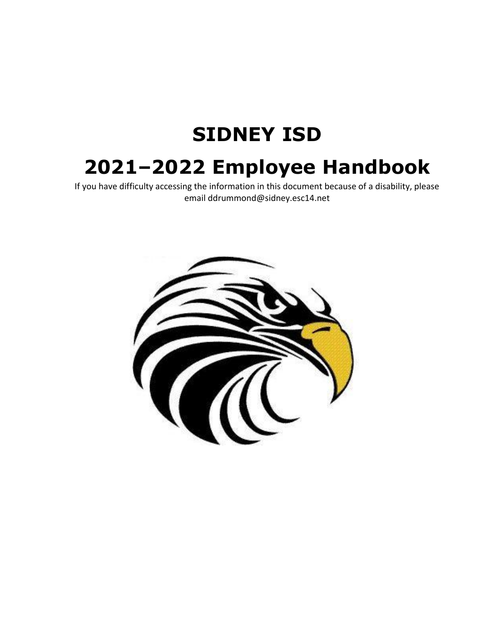# **SIDNEY ISD**

# **2021–2022 Employee Handbook**

If you have difficulty accessing the information in this document because of a disability, please email ddrummond@sidney.esc14.net

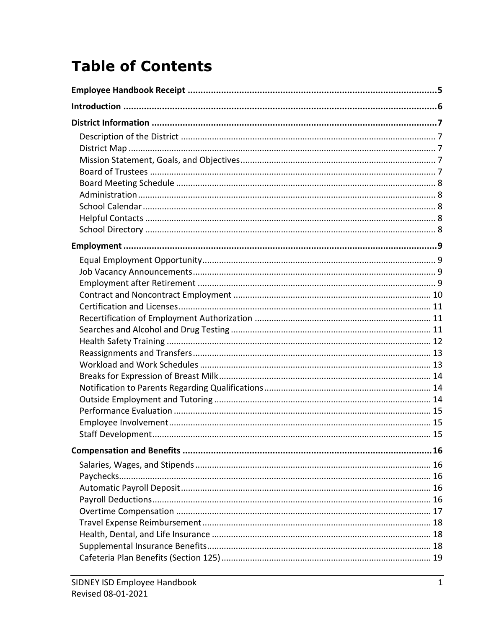# **Table of Contents**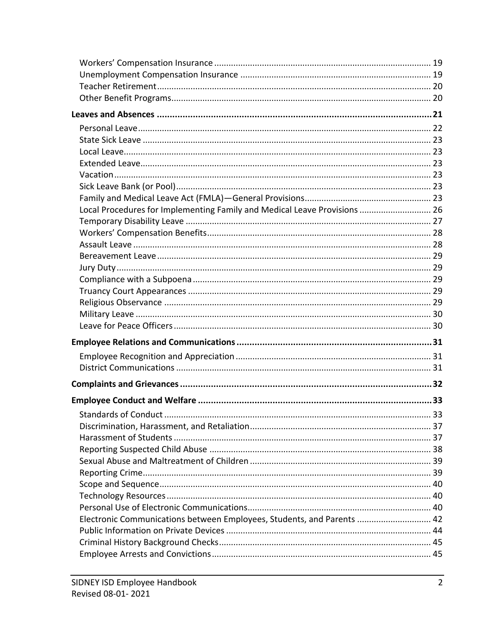| Local Procedures for Implementing Family and Medical Leave Provisions  26 |  |
|---------------------------------------------------------------------------|--|
|                                                                           |  |
|                                                                           |  |
|                                                                           |  |
|                                                                           |  |
|                                                                           |  |
|                                                                           |  |
|                                                                           |  |
|                                                                           |  |
|                                                                           |  |
|                                                                           |  |
|                                                                           |  |
|                                                                           |  |
|                                                                           |  |
|                                                                           |  |
|                                                                           |  |
|                                                                           |  |
|                                                                           |  |
|                                                                           |  |
|                                                                           |  |
|                                                                           |  |
|                                                                           |  |
|                                                                           |  |
|                                                                           |  |
|                                                                           |  |
| Electronic Communications between Employees, Students, and Parents  42    |  |
|                                                                           |  |
|                                                                           |  |
|                                                                           |  |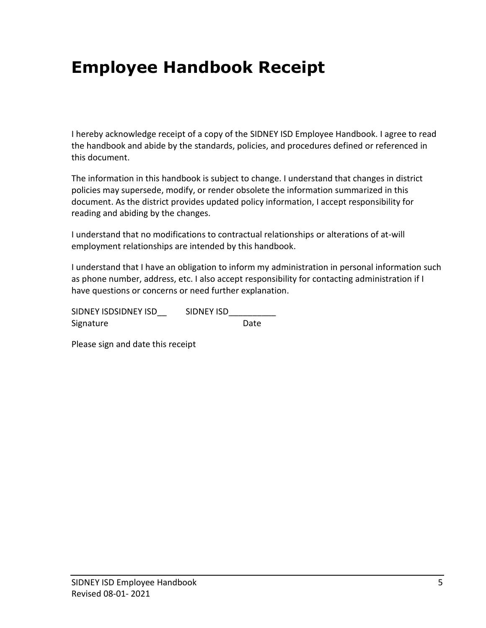# **Employee Handbook Receipt**

I hereby acknowledge receipt of a copy of the SIDNEY ISD Employee Handbook. I agree to read the handbook and abide by the standards, policies, and procedures defined or referenced in this document.

The information in this handbook is subject to change. I understand that changes in district policies may supersede, modify, or render obsolete the information summarized in this document. As the district provides updated policy information, I accept responsibility for reading and abiding by the changes.

I understand that no modifications to contractual relationships or alterations of at-will employment relationships are intended by this handbook.

I understand that I have an obligation to inform my administration in personal information such as phone number, address, etc. I also accept responsibility for contacting administration if I have questions or concerns or need further explanation.

SIDNEY ISDSIDNEY ISD\_\_ SIDNEY ISD\_\_\_\_\_\_\_\_\_\_ Signature Date

Please sign and date this receipt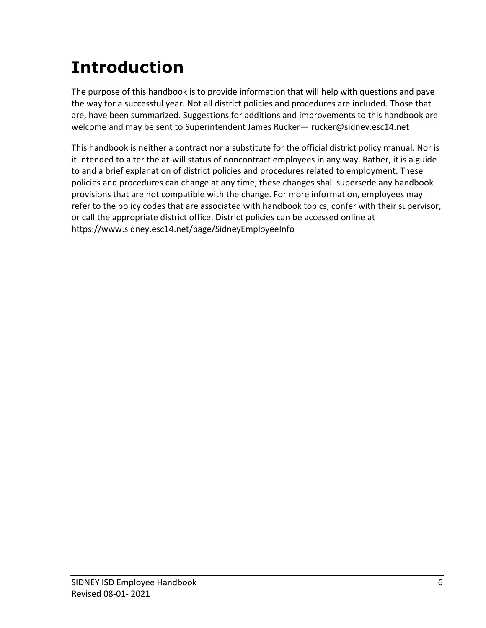# **Introduction**

The purpose of this handbook is to provide information that will help with questions and pave the way for a successful year. Not all district policies and procedures are included. Those that are, have been summarized. Suggestions for additions and improvements to this handbook are welcome and may be sent to Superintendent James Rucker—jrucker@sidney.esc14.net

This handbook is neither a contract nor a substitute for the official district policy manual. Nor is it intended to alter the at-will status of noncontract employees in any way. Rather, it is a guide to and a brief explanation of district policies and procedures related to employment. These policies and procedures can change at any time; these changes shall supersede any handbook provisions that are not compatible with the change. For more information, employees may refer to the policy codes that are associated with handbook topics, confer with their supervisor, or call the appropriate district office. District policies can be accessed online at https://www.sidney.esc14.net/page/SidneyEmployeeInfo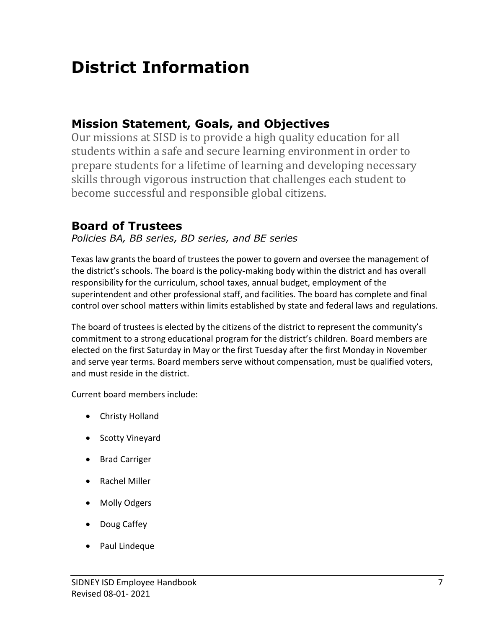# **District Information**

### **Mission Statement, Goals, and Objectives**

Our missions at SISD is to provide a high quality education for all students within a safe and secure learning environment in order to prepare students for a lifetime of learning and developing necessary skills through vigorous instruction that challenges each student to become successful and responsible global citizens.

### **Board of Trustees**

*Policies BA, BB series, BD series, and BE series*

Texas law grants the board of trustees the power to govern and oversee the management of the district's schools. The board is the policy-making body within the district and has overall responsibility for the curriculum, school taxes, annual budget, employment of the superintendent and other professional staff, and facilities. The board has complete and final control over school matters within limits established by state and federal laws and regulations.

The board of trustees is elected by the citizens of the district to represent the community's commitment to a strong educational program for the district's children. Board members are elected on the first Saturday in May or the first Tuesday after the first Monday in November and serve year terms. Board members serve without compensation, must be qualified voters, and must reside in the district.

Current board members include:

- Christy Holland
- Scotty Vineyard
- Brad Carriger
- Rachel Miller
- Molly Odgers
- Doug Caffey
- Paul Lindeque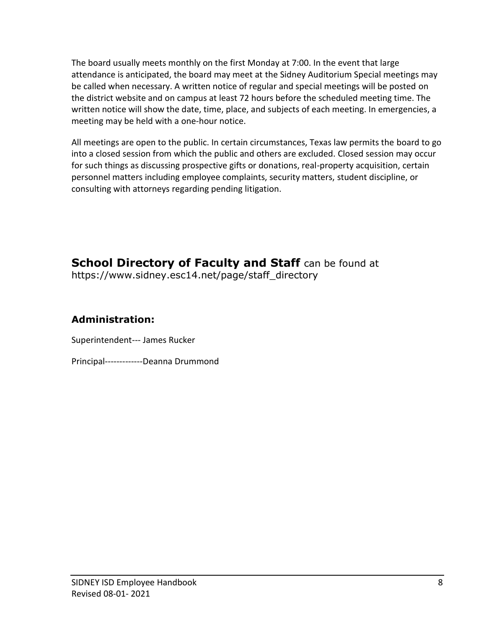The board usually meets monthly on the first Monday at 7:00. In the event that large attendance is anticipated, the board may meet at the Sidney Auditorium Special meetings may be called when necessary. A written notice of regular and special meetings will be posted on the district website and on campus at least 72 hours before the scheduled meeting time. The written notice will show the date, time, place, and subjects of each meeting. In emergencies, a meeting may be held with a one-hour notice.

All meetings are open to the public. In certain circumstances, Texas law permits the board to go into a closed session from which the public and others are excluded. Closed session may occur for such things as discussing prospective gifts or donations, real-property acquisition, certain personnel matters including employee complaints, security matters, student discipline, or consulting with attorneys regarding pending litigation.

**School Directory of Faculty and Staff** can be found at https://www.sidney.esc14.net/page/staff\_directory

### **Administration:**

Superintendent--- James Rucker

Principal-------------Deanna Drummond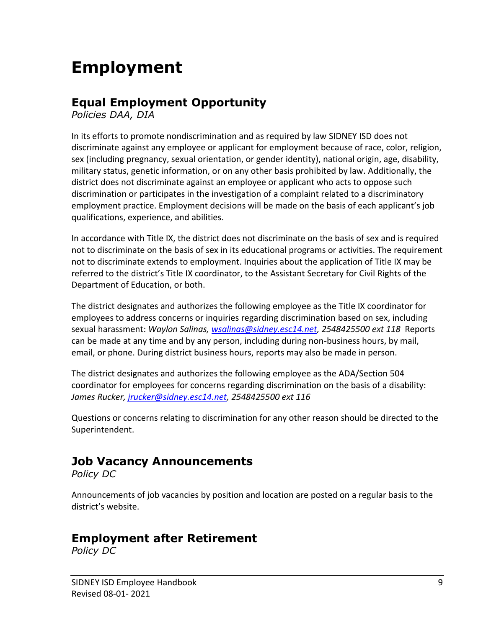# **Employment**

### **Equal Employment Opportunity**

*Policies DAA, DIA*

In its efforts to promote nondiscrimination and as required by law SIDNEY ISD does not discriminate against any employee or applicant for employment because of race, color, religion, sex (including pregnancy, sexual orientation, or gender identity), national origin, age, disability, military status, genetic information, or on any other basis prohibited by law. Additionally, the district does not discriminate against an employee or applicant who acts to oppose such discrimination or participates in the investigation of a complaint related to a discriminatory employment practice. Employment decisions will be made on the basis of each applicant's job qualifications, experience, and abilities.

In accordance with Title IX, the district does not discriminate on the basis of sex and is required not to discriminate on the basis of sex in its educational programs or activities. The requirement not to discriminate extends to employment. Inquiries about the application of Title IX may be referred to the district's Title IX coordinator, to the Assistant Secretary for Civil Rights of the Department of Education, or both.

The district designates and authorizes the following employee as the Title IX coordinator for employees to address concerns or inquiries regarding discrimination based on sex, including sexual harassment: *Waylon Salinas, [wsalinas@sidney.esc14.net,](mailto:wsalinas@sidney.esc14.net) 2548425500 ext 118* Reports can be made at any time and by any person, including during non-business hours, by mail, email, or phone. During district business hours, reports may also be made in person.

The district designates and authorizes the following employee as the ADA/Section 504 coordinator for employees for concerns regarding discrimination on the basis of a disability: *James Rucker, [jrucker@sidney.esc14.net,](mailto:jrucker@sidney.esc14.net) 2548425500 ext 116*

Questions or concerns relating to discrimination for any other reason should be directed to the Superintendent.

### **Job Vacancy Announcements**

*Policy DC*

Announcements of job vacancies by position and location are posted on a regular basis to the district's website.

### **Employment after Retirement**

*Policy DC*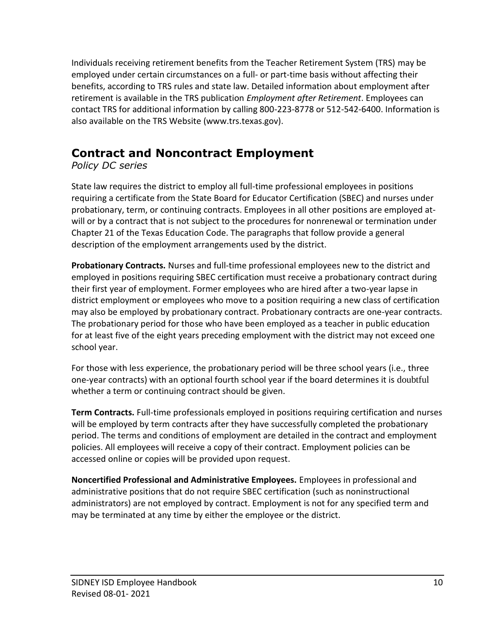Individuals receiving retirement benefits from the Teacher Retirement System (TRS) may be employed under certain circumstances on a full- or part-time basis without affecting their benefits, according to TRS rules and state law. Detailed information about employment after retirement is available in the TRS publication *Employment after Retirement*. Employees can contact TRS for additional information by calling 800-223-8778 or 512-542-6400. Information is also available on the TRS Website (www.trs.texas.gov).

# **Contract and Noncontract Employment**

*Policy DC series*

State law requires the district to employ all full-time professional employees in positions requiring a certificate from the State Board for Educator Certification (SBEC) and nurses under probationary, term, or continuing contracts. Employees in all other positions are employed atwill or by a contract that is not subject to the procedures for nonrenewal or termination under Chapter 21 of the Texas Education Code. The paragraphs that follow provide a general description of the employment arrangements used by the district.

**Probationary Contracts.** Nurses and full-time professional employees new to the district and employed in positions requiring SBEC certification must receive a probationary contract during their first year of employment. Former employees who are hired after a two-year lapse in district employment or employees who move to a position requiring a new class of certification may also be employed by probationary contract. Probationary contracts are one-year contracts. The probationary period for those who have been employed as a teacher in public education for at least five of the eight years preceding employment with the district may not exceed one school year.

For those with less experience, the probationary period will be three school years (i.e., three one-year contracts) with an optional fourth school year if the board determines it is doubtful whether a term or continuing contract should be given.

**Term Contracts.** Full-time professionals employed in positions requiring certification and nurses will be employed by term contracts after they have successfully completed the probationary period. The terms and conditions of employment are detailed in the contract and employment policies. All employees will receive a copy of their contract. Employment policies can be accessed online or copies will be provided upon request.

**Noncertified Professional and Administrative Employees.** Employees in professional and administrative positions that do not require SBEC certification (such as noninstructional administrators) are not employed by contract. Employment is not for any specified term and may be terminated at any time by either the employee or the district.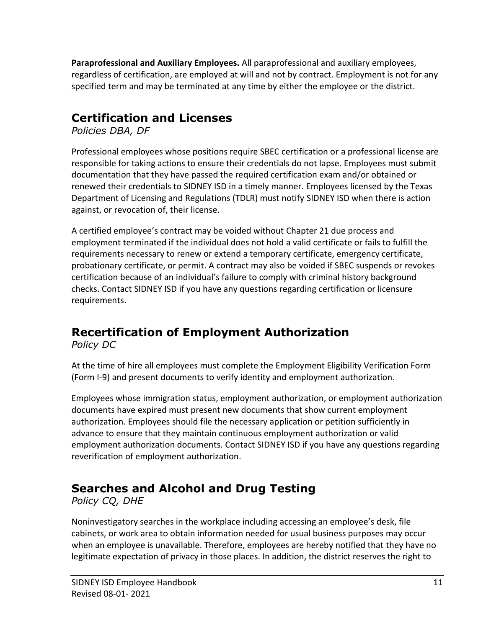**Paraprofessional and Auxiliary Employees.** All paraprofessional and auxiliary employees, regardless of certification, are employed at will and not by contract. Employment is not for any specified term and may be terminated at any time by either the employee or the district.

### **Certification and Licenses**

*Policies DBA, DF*

Professional employees whose positions require SBEC certification or a professional license are responsible for taking actions to ensure their credentials do not lapse. Employees must submit documentation that they have passed the required certification exam and/or obtained or renewed their credentials to SIDNEY ISD in a timely manner. Employees licensed by the Texas Department of Licensing and Regulations (TDLR) must notify SIDNEY ISD when there is action against, or revocation of, their license.

A certified employee's contract may be voided without Chapter 21 due process and employment terminated if the individual does not hold a valid certificate or fails to fulfill the requirements necessary to renew or extend a temporary certificate, emergency certificate, probationary certificate, or permit. A contract may also be voided if SBEC suspends or revokes certification because of an individual's failure to comply with criminal history background checks. Contact SIDNEY ISD if you have any questions regarding certification or licensure requirements.

# **Recertification of Employment Authorization**

*Policy DC*

At the time of hire all employees must complete the Employment Eligibility Verification Form (Form I-9) and present documents to verify identity and employment authorization.

Employees whose immigration status, employment authorization, or employment authorization documents have expired must present new documents that show current employment authorization. Employees should file the necessary application or petition sufficiently in advance to ensure that they maintain continuous employment authorization or valid employment authorization documents. Contact SIDNEY ISD if you have any questions regarding reverification of employment authorization.

# **Searches and Alcohol and Drug Testing**

*Policy CQ, DHE*

Noninvestigatory searches in the workplace including accessing an employee's desk, file cabinets, or work area to obtain information needed for usual business purposes may occur when an employee is unavailable. Therefore, employees are hereby notified that they have no legitimate expectation of privacy in those places. In addition, the district reserves the right to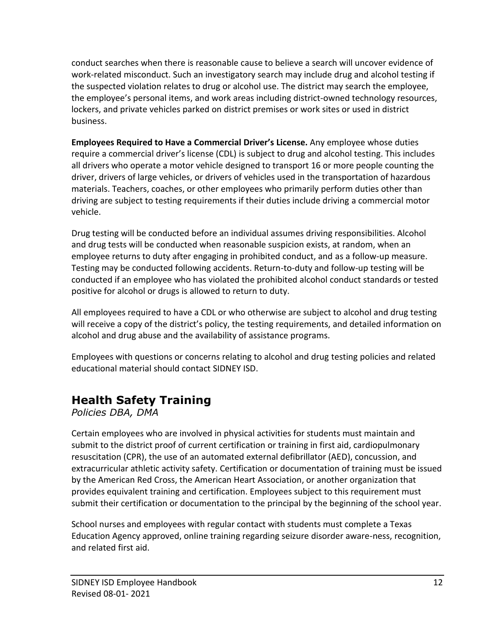conduct searches when there is reasonable cause to believe a search will uncover evidence of work-related misconduct. Such an investigatory search may include drug and alcohol testing if the suspected violation relates to drug or alcohol use. The district may search the employee, the employee's personal items, and work areas including district-owned technology resources, lockers, and private vehicles parked on district premises or work sites or used in district business.

**Employees Required to Have a Commercial Driver's License.** Any employee whose duties require a commercial driver's license (CDL) is subject to drug and alcohol testing. This includes all drivers who operate a motor vehicle designed to transport 16 or more people counting the driver, drivers of large vehicles, or drivers of vehicles used in the transportation of hazardous materials. Teachers, coaches, or other employees who primarily perform duties other than driving are subject to testing requirements if their duties include driving a commercial motor vehicle.

Drug testing will be conducted before an individual assumes driving responsibilities. Alcohol and drug tests will be conducted when reasonable suspicion exists, at random, when an employee returns to duty after engaging in prohibited conduct, and as a follow-up measure. Testing may be conducted following accidents. Return-to-duty and follow-up testing will be conducted if an employee who has violated the prohibited alcohol conduct standards or tested positive for alcohol or drugs is allowed to return to duty.

All employees required to have a CDL or who otherwise are subject to alcohol and drug testing will receive a copy of the district's policy, the testing requirements, and detailed information on alcohol and drug abuse and the availability of assistance programs.

Employees with questions or concerns relating to alcohol and drug testing policies and related educational material should contact SIDNEY ISD.

# **Health Safety Training**

*Policies DBA, DMA*

Certain employees who are involved in physical activities for students must maintain and submit to the district proof of current certification or training in first aid, cardiopulmonary resuscitation (CPR), the use of an automated external defibrillator (AED), concussion, and extracurricular athletic activity safety. Certification or documentation of training must be issued by the American Red Cross, the American Heart Association, or another organization that provides equivalent training and certification. Employees subject to this requirement must submit their certification or documentation to the principal by the beginning of the school year.

School nurses and employees with regular contact with students must complete a Texas Education Agency approved, online training regarding seizure disorder aware-ness, recognition, and related first aid.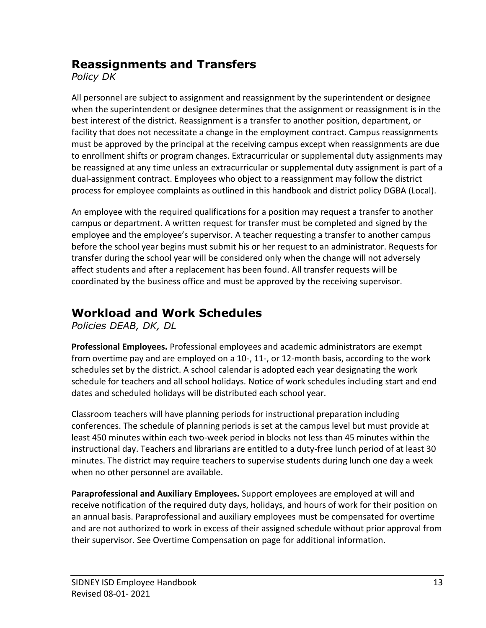### **Reassignments and Transfers**

*Policy DK*

All personnel are subject to assignment and reassignment by the superintendent or designee when the superintendent or designee determines that the assignment or reassignment is in the best interest of the district. Reassignment is a transfer to another position, department, or facility that does not necessitate a change in the employment contract. Campus reassignments must be approved by the principal at the receiving campus except when reassignments are due to enrollment shifts or program changes. Extracurricular or supplemental duty assignments may be reassigned at any time unless an extracurricular or supplemental duty assignment is part of a dual-assignment contract. Employees who object to a reassignment may follow the district process for employee complaints as outlined in this handbook and district policy DGBA (Local).

An employee with the required qualifications for a position may request a transfer to another campus or department. A written request for transfer must be completed and signed by the employee and the employee's supervisor. A teacher requesting a transfer to another campus before the school year begins must submit his or her request to an administrator. Requests for transfer during the school year will be considered only when the change will not adversely affect students and after a replacement has been found. All transfer requests will be coordinated by the business office and must be approved by the receiving supervisor.

# **Workload and Work Schedules**

*Policies DEAB, DK, DL*

**Professional Employees.** Professional employees and academic administrators are exempt from overtime pay and are employed on a 10-, 11-, or 12-month basis, according to the work schedules set by the district. A school calendar is adopted each year designating the work schedule for teachers and all school holidays. Notice of work schedules including start and end dates and scheduled holidays will be distributed each school year.

Classroom teachers will have planning periods for instructional preparation including conferences. The schedule of planning periods is set at the campus level but must provide at least 450 minutes within each two-week period in blocks not less than 45 minutes within the instructional day. Teachers and librarians are entitled to a duty-free lunch period of at least 30 minutes. The district may require teachers to supervise students during lunch one day a week when no other personnel are available.

**Paraprofessional and Auxiliary Employees.** Support employees are employed at will and receive notification of the required duty days, holidays, and hours of work for their position on an annual basis. Paraprofessional and auxiliary employees must be compensated for overtime and are not authorized to work in excess of their assigned schedule without prior approval from their supervisor. See Overtime Compensation on page for additional information.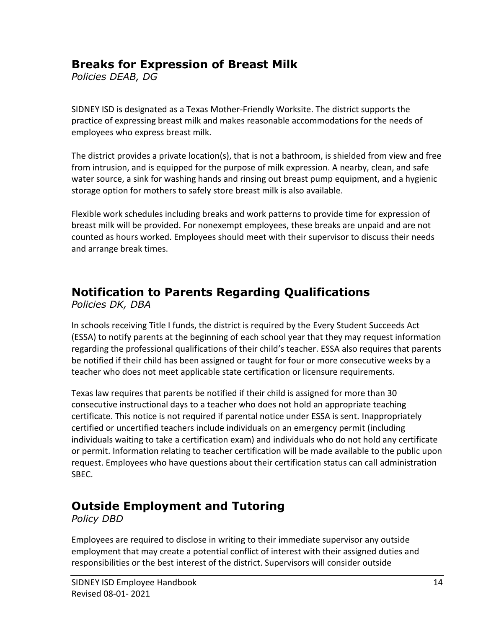### **Breaks for Expression of Breast Milk**

*Policies DEAB, DG*

SIDNEY ISD is designated as a Texas Mother-Friendly Worksite. The district supports the practice of expressing breast milk and makes reasonable accommodations for the needs of employees who express breast milk.

The district provides a private location(s), that is not a bathroom, is shielded from view and free from intrusion, and is equipped for the purpose of milk expression. A nearby, clean, and safe water source, a sink for washing hands and rinsing out breast pump equipment, and a hygienic storage option for mothers to safely store breast milk is also available.

Flexible work schedules including breaks and work patterns to provide time for expression of breast milk will be provided. For nonexempt employees, these breaks are unpaid and are not counted as hours worked. Employees should meet with their supervisor to discuss their needs and arrange break times.

# **Notification to Parents Regarding Qualifications**

*Policies DK, DBA*

In schools receiving Title I funds, the district is required by the Every Student Succeeds Act (ESSA) to notify parents at the beginning of each school year that they may request information regarding the professional qualifications of their child's teacher. ESSA also requires that parents be notified if their child has been assigned or taught for four or more consecutive weeks by a teacher who does not meet applicable state certification or licensure requirements.

Texas law requires that parents be notified if their child is assigned for more than 30 consecutive instructional days to a teacher who does not hold an appropriate teaching certificate. This notice is not required if parental notice under ESSA is sent. Inappropriately certified or uncertified teachers include individuals on an emergency permit (including individuals waiting to take a certification exam) and individuals who do not hold any certificate or permit. Information relating to teacher certification will be made available to the public upon request. Employees who have questions about their certification status can call administration SBEC.

# **Outside Employment and Tutoring**

*Policy DBD*

Employees are required to disclose in writing to their immediate supervisor any outside employment that may create a potential conflict of interest with their assigned duties and responsibilities or the best interest of the district. Supervisors will consider outside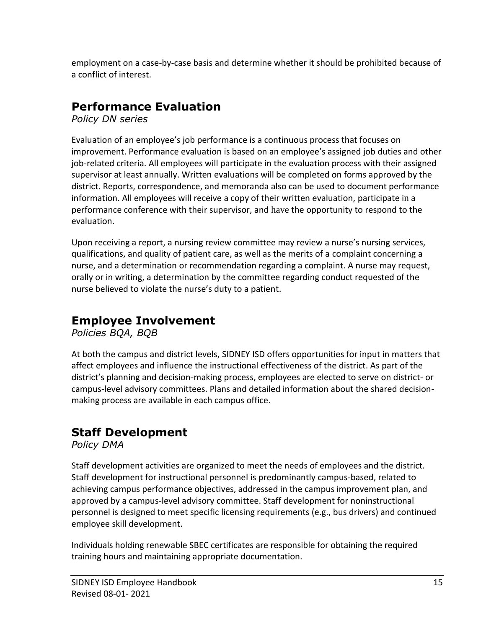employment on a case-by-case basis and determine whether it should be prohibited because of a conflict of interest.

### **Performance Evaluation**

*Policy DN series*

Evaluation of an employee's job performance is a continuous process that focuses on improvement. Performance evaluation is based on an employee's assigned job duties and other job-related criteria. All employees will participate in the evaluation process with their assigned supervisor at least annually. Written evaluations will be completed on forms approved by the district. Reports, correspondence, and memoranda also can be used to document performance information. All employees will receive a copy of their written evaluation, participate in a performance conference with their supervisor, and have the opportunity to respond to the evaluation.

Upon receiving a report, a nursing review committee may review a nurse's nursing services, qualifications, and quality of patient care, as well as the merits of a complaint concerning a nurse, and a determination or recommendation regarding a complaint. A nurse may request, orally or in writing, a determination by the committee regarding conduct requested of the nurse believed to violate the nurse's duty to a patient.

### **Employee Involvement**

*Policies BQA, BQB*

At both the campus and district levels, SIDNEY ISD offers opportunities for input in matters that affect employees and influence the instructional effectiveness of the district. As part of the district's planning and decision-making process, employees are elected to serve on district- or campus-level advisory committees. Plans and detailed information about the shared decisionmaking process are available in each campus office.

# **Staff Development**

*Policy DMA*

Staff development activities are organized to meet the needs of employees and the district. Staff development for instructional personnel is predominantly campus-based, related to achieving campus performance objectives, addressed in the campus improvement plan, and approved by a campus-level advisory committee. Staff development for noninstructional personnel is designed to meet specific licensing requirements (e.g., bus drivers) and continued employee skill development.

Individuals holding renewable SBEC certificates are responsible for obtaining the required training hours and maintaining appropriate documentation.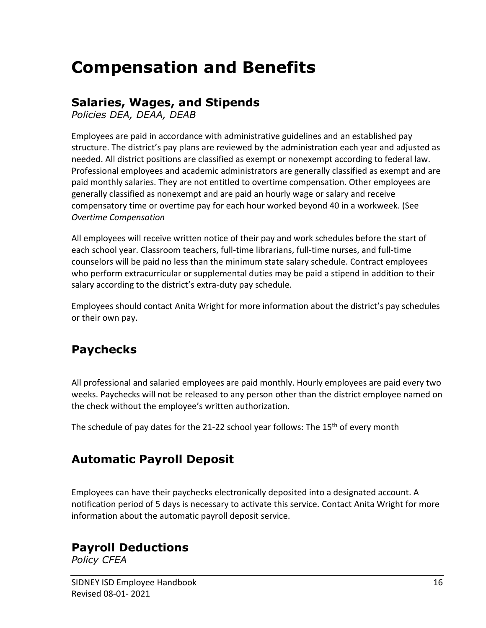# **Compensation and Benefits**

### **Salaries, Wages, and Stipends**

*Policies DEA, DEAA, DEAB*

Employees are paid in accordance with administrative guidelines and an established pay structure. The district's pay plans are reviewed by the administration each year and adjusted as needed. All district positions are classified as exempt or nonexempt according to federal law. Professional employees and academic administrators are generally classified as exempt and are paid monthly salaries. They are not entitled to overtime compensation. Other employees are generally classified as nonexempt and are paid an hourly wage or salary and receive compensatory time or overtime pay for each hour worked beyond 40 in a workweek. (See *Overtime Compensation*

All employees will receive written notice of their pay and work schedules before the start of each school year. Classroom teachers, full-time librarians, full-time nurses, and full-time counselors will be paid no less than the minimum state salary schedule. Contract employees who perform extracurricular or supplemental duties may be paid a stipend in addition to their salary according to the district's extra-duty pay schedule.

Employees should contact Anita Wright for more information about the district's pay schedules or their own pay.

# **Paychecks**

All professional and salaried employees are paid monthly. Hourly employees are paid every two weeks. Paychecks will not be released to any person other than the district employee named on the check without the employee's written authorization.

The schedule of pay dates for the 21-22 school year follows: The  $15<sup>th</sup>$  of every month

### **Automatic Payroll Deposit**

Employees can have their paychecks electronically deposited into a designated account. A notification period of 5 days is necessary to activate this service. Contact Anita Wright for more information about the automatic payroll deposit service.

### **Payroll Deductions**

*Policy CFEA*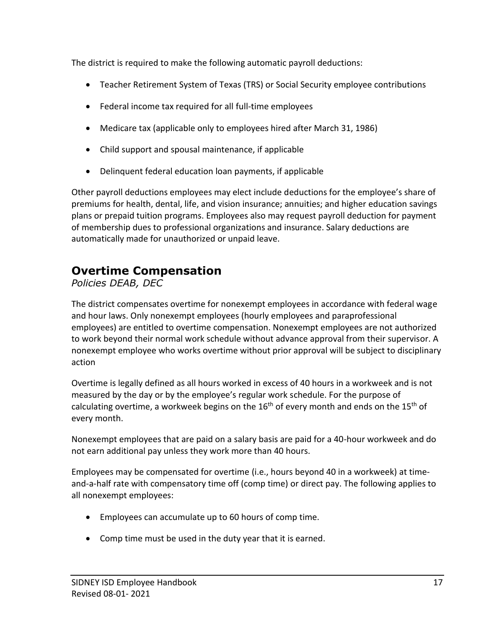The district is required to make the following automatic payroll deductions:

- Teacher Retirement System of Texas (TRS) or Social Security employee contributions
- Federal income tax required for all full-time employees
- Medicare tax (applicable only to employees hired after March 31, 1986)
- Child support and spousal maintenance, if applicable
- Delinquent federal education loan payments, if applicable

Other payroll deductions employees may elect include deductions for the employee's share of premiums for health, dental, life, and vision insurance; annuities; and higher education savings plans or prepaid tuition programs. Employees also may request payroll deduction for payment of membership dues to professional organizations and insurance. Salary deductions are automatically made for unauthorized or unpaid leave.

# **Overtime Compensation**

*Policies DEAB, DEC*

The district compensates overtime for nonexempt employees in accordance with federal wage and hour laws. Only nonexempt employees (hourly employees and paraprofessional employees) are entitled to overtime compensation. Nonexempt employees are not authorized to work beyond their normal work schedule without advance approval from their supervisor. A nonexempt employee who works overtime without prior approval will be subject to disciplinary action

Overtime is legally defined as all hours worked in excess of 40 hours in a workweek and is not measured by the day or by the employee's regular work schedule. For the purpose of calculating overtime, a workweek begins on the  $16<sup>th</sup>$  of every month and ends on the  $15<sup>th</sup>$  of every month.

Nonexempt employees that are paid on a salary basis are paid for a 40-hour workweek and do not earn additional pay unless they work more than 40 hours.

Employees may be compensated for overtime (i.e., hours beyond 40 in a workweek) at timeand-a-half rate with compensatory time off (comp time) or direct pay. The following applies to all nonexempt employees:

- Employees can accumulate up to 60 hours of comp time.
- Comp time must be used in the duty year that it is earned.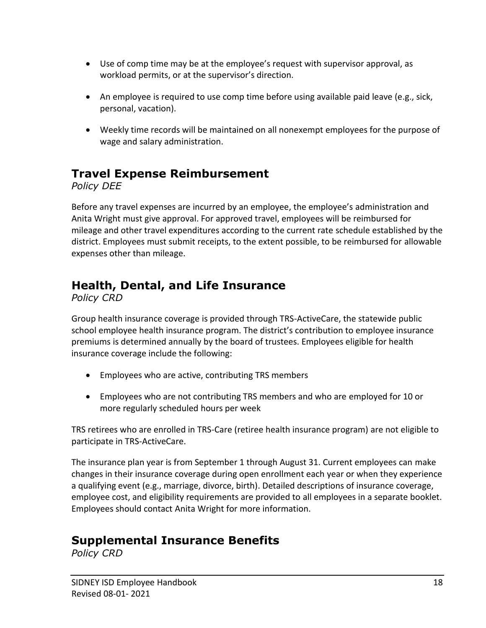- Use of comp time may be at the employee's request with supervisor approval, as workload permits, or at the supervisor's direction.
- An employee is required to use comp time before using available paid leave (e.g., sick, personal, vacation).
- Weekly time records will be maintained on all nonexempt employees for the purpose of wage and salary administration.

### **Travel Expense Reimbursement**

#### *Policy DEE*

Before any travel expenses are incurred by an employee, the employee's administration and Anita Wright must give approval. For approved travel, employees will be reimbursed for mileage and other travel expenditures according to the current rate schedule established by the district. Employees must submit receipts, to the extent possible, to be reimbursed for allowable expenses other than mileage.

# **Health, Dental, and Life Insurance**

*Policy CRD*

Group health insurance coverage is provided through TRS-ActiveCare, the statewide public school employee health insurance program. The district's contribution to employee insurance premiums is determined annually by the board of trustees. Employees eligible for health insurance coverage include the following:

- Employees who are active, contributing TRS members
- Employees who are not contributing TRS members and who are employed for 10 or more regularly scheduled hours per week

TRS retirees who are enrolled in TRS-Care (retiree health insurance program) are not eligible to participate in TRS-ActiveCare.

The insurance plan year is from September 1 through August 31. Current employees can make changes in their insurance coverage during open enrollment each year or when they experience a qualifying event (e.g., marriage, divorce, birth). Detailed descriptions of insurance coverage, employee cost, and eligibility requirements are provided to all employees in a separate booklet. Employees should contact Anita Wright for more information.

### **Supplemental Insurance Benefits**

*Policy CRD*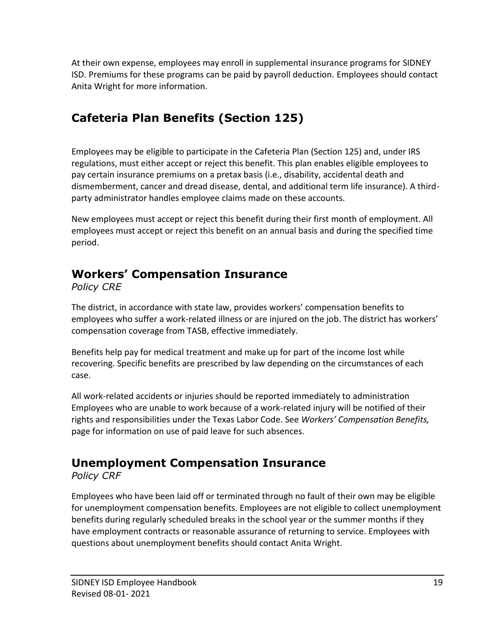At their own expense, employees may enroll in supplemental insurance programs for SIDNEY ISD. Premiums for these programs can be paid by payroll deduction. Employees should contact Anita Wright for more information.

# **Cafeteria Plan Benefits (Section 125)**

Employees may be eligible to participate in the Cafeteria Plan (Section 125) and, under IRS regulations, must either accept or reject this benefit. This plan enables eligible employees to pay certain insurance premiums on a pretax basis (i.e., disability, accidental death and dismemberment, cancer and dread disease, dental, and additional term life insurance). A thirdparty administrator handles employee claims made on these accounts.

New employees must accept or reject this benefit during their first month of employment. All employees must accept or reject this benefit on an annual basis and during the specified time period.

# **Workers' Compensation Insurance**

*Policy CRE*

The district, in accordance with state law, provides workers' compensation benefits to employees who suffer a work-related illness or are injured on the job. The district has workers' compensation coverage from TASB, effective immediately.

Benefits help pay for medical treatment and make up for part of the income lost while recovering. Specific benefits are prescribed by law depending on the circumstances of each case.

All work-related accidents or injuries should be reported immediately to administration Employees who are unable to work because of a work-related injury will be notified of their rights and responsibilities under the Texas Labor Code. See *Workers' Compensation Benefits,*  page for information on use of paid leave for such absences.

### **Unemployment Compensation Insurance**

*Policy CRF*

Employees who have been laid off or terminated through no fault of their own may be eligible for unemployment compensation benefits. Employees are not eligible to collect unemployment benefits during regularly scheduled breaks in the school year or the summer months if they have employment contracts or reasonable assurance of returning to service. Employees with questions about unemployment benefits should contact Anita Wright.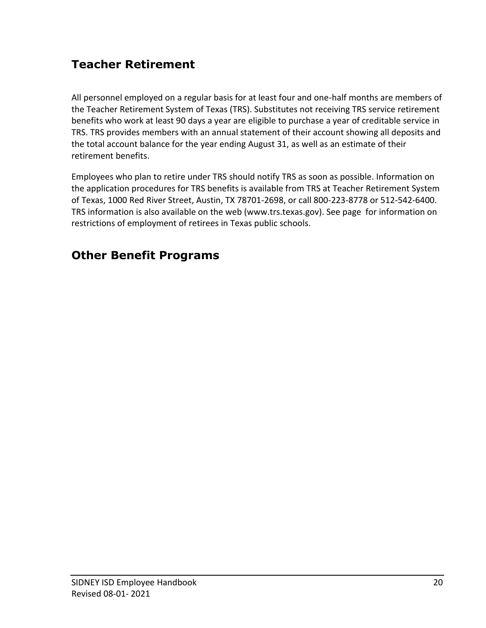## **Teacher Retirement**

All personnel employed on a regular basis for at least four and one-half months are members of the Teacher Retirement System of Texas (TRS). Substitutes not receiving TRS service retirement benefits who work at least 90 days a year are eligible to purchase a year of creditable service in TRS. TRS provides members with an annual statement of their account showing all deposits and the total account balance for the year ending August 31, as well as an estimate of their retirement benefits.

Employees who plan to retire under TRS should notify TRS as soon as possible. Information on the application procedures for TRS benefits is available from TRS at Teacher Retirement System of Texas, 1000 Red River Street, Austin, TX 78701-2698, or call 800-223-8778 or 512-542-6400. TRS information is also available on the web (www.trs.texas.gov). See page for information on restrictions of employment of retirees in Texas public schools.

### **Other Benefit Programs**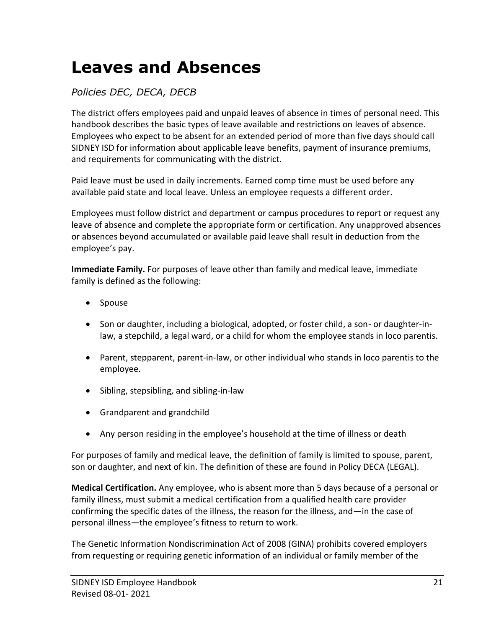# **Leaves and Absences**

### *Policies DEC, DECA, DECB*

The district offers employees paid and unpaid leaves of absence in times of personal need. This handbook describes the basic types of leave available and restrictions on leaves of absence. Employees who expect to be absent for an extended period of more than five days should call SIDNEY ISD for information about applicable leave benefits, payment of insurance premiums, and requirements for communicating with the district.

Paid leave must be used in daily increments. Earned comp time must be used before any available paid state and local leave. Unless an employee requests a different order.

Employees must follow district and department or campus procedures to report or request any leave of absence and complete the appropriate form or certification. Any unapproved absences or absences beyond accumulated or available paid leave shall result in deduction from the employee's pay.

**Immediate Family.** For purposes of leave other than family and medical leave, immediate family is defined as the following:

- Spouse
- Son or daughter, including a biological, adopted, or foster child, a son- or daughter-inlaw, a stepchild, a legal ward, or a child for whom the employee stands in loco parentis.
- Parent, stepparent, parent-in-law, or other individual who stands in loco parentis to the employee.
- Sibling, stepsibling, and sibling-in-law
- Grandparent and grandchild
- Any person residing in the employee's household at the time of illness or death

For purposes of family and medical leave, the definition of family is limited to spouse, parent, son or daughter, and next of kin. The definition of these are found in Policy DECA (LEGAL).

**Medical Certification.** Any employee, who is absent more than 5 days because of a personal or family illness, must submit a medical certification from a qualified health care provider confirming the specific dates of the illness, the reason for the illness, and—in the case of personal illness—the employee's fitness to return to work.

The Genetic Information Nondiscrimination Act of 2008 (GINA) prohibits covered employers from requesting or requiring genetic information of an individual or family member of the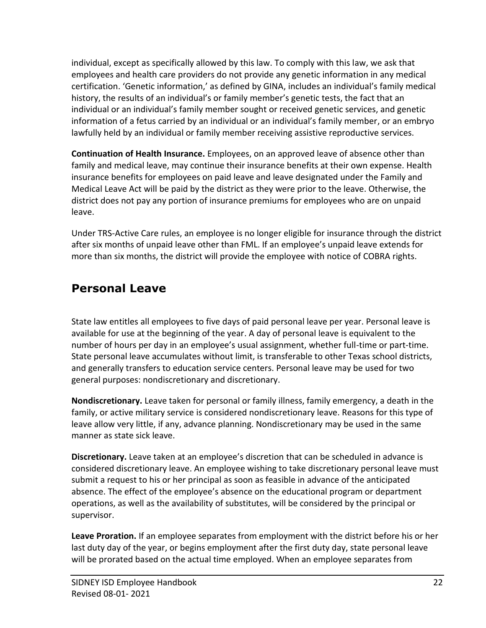individual, except as specifically allowed by this law. To comply with this law, we ask that employees and health care providers do not provide any genetic information in any medical certification. 'Genetic information,' as defined by GINA, includes an individual's family medical history, the results of an individual's or family member's genetic tests, the fact that an individual or an individual's family member sought or received genetic services, and genetic information of a fetus carried by an individual or an individual's family member, or an embryo lawfully held by an individual or family member receiving assistive reproductive services.

**Continuation of Health Insurance.** Employees, on an approved leave of absence other than family and medical leave, may continue their insurance benefits at their own expense. Health insurance benefits for employees on paid leave and leave designated under the Family and Medical Leave Act will be paid by the district as they were prior to the leave. Otherwise, the district does not pay any portion of insurance premiums for employees who are on unpaid leave.

Under TRS-Active Care rules, an employee is no longer eligible for insurance through the district after six months of unpaid leave other than FML. If an employee's unpaid leave extends for more than six months, the district will provide the employee with notice of COBRA rights.

## **Personal Leave**

State law entitles all employees to five days of paid personal leave per year. Personal leave is available for use at the beginning of the year. A day of personal leave is equivalent to the number of hours per day in an employee's usual assignment, whether full-time or part-time. State personal leave accumulates without limit, is transferable to other Texas school districts, and generally transfers to education service centers. Personal leave may be used for two general purposes: nondiscretionary and discretionary.

**Nondiscretionary.** Leave taken for personal or family illness, family emergency, a death in the family, or active military service is considered nondiscretionary leave. Reasons for this type of leave allow very little, if any, advance planning. Nondiscretionary may be used in the same manner as state sick leave.

**Discretionary.** Leave taken at an employee's discretion that can be scheduled in advance is considered discretionary leave. An employee wishing to take discretionary personal leave must submit a request to his or her principal as soon as feasible in advance of the anticipated absence. The effect of the employee's absence on the educational program or department operations, as well as the availability of substitutes, will be considered by the principal or supervisor.

**Leave Proration.** If an employee separates from employment with the district before his or her last duty day of the year, or begins employment after the first duty day, state personal leave will be prorated based on the actual time employed. When an employee separates from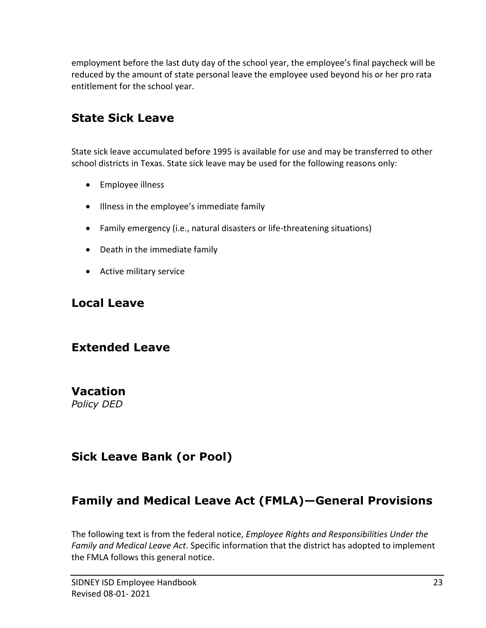employment before the last duty day of the school year, the employee's final paycheck will be reduced by the amount of state personal leave the employee used beyond his or her pro rata entitlement for the school year.

### **State Sick Leave**

State sick leave accumulated before 1995 is available for use and may be transferred to other school districts in Texas. State sick leave may be used for the following reasons only:

- Employee illness
- Illness in the employee's immediate family
- Family emergency (i.e., natural disasters or life-threatening situations)
- Death in the immediate family
- Active military service

### **Local Leave**

### **Extended Leave**

# **Vacation**

*Policy DED*

### **Sick Leave Bank (or Pool)**

### **Family and Medical Leave Act (FMLA)—General Provisions**

The following text is from the federal notice, *Employee Rights and Responsibilities Under the Family and Medical Leave Act*. Specific information that the district has adopted to implement the FMLA follows this general notice.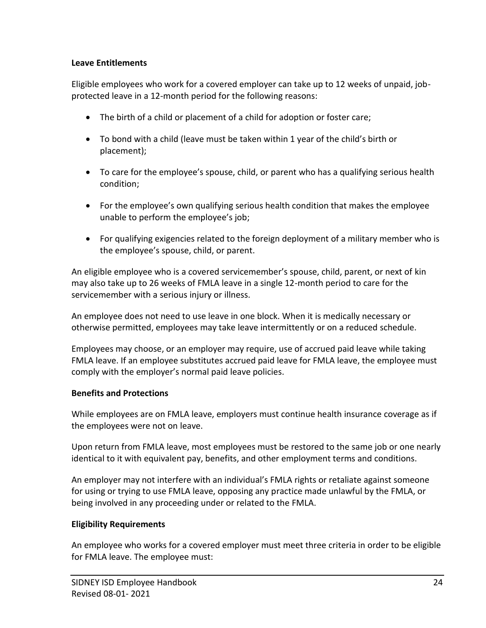#### **Leave Entitlements**

Eligible employees who work for a covered employer can take up to 12 weeks of unpaid, jobprotected leave in a 12-month period for the following reasons:

- The birth of a child or placement of a child for adoption or foster care;
- To bond with a child (leave must be taken within 1 year of the child's birth or placement);
- To care for the employee's spouse, child, or parent who has a qualifying serious health condition;
- For the employee's own qualifying serious health condition that makes the employee unable to perform the employee's job;
- For qualifying exigencies related to the foreign deployment of a military member who is the employee's spouse, child, or parent.

An eligible employee who is a covered servicemember's spouse, child, parent, or next of kin may also take up to 26 weeks of FMLA leave in a single 12-month period to care for the servicemember with a serious injury or illness.

An employee does not need to use leave in one block. When it is medically necessary or otherwise permitted, employees may take leave intermittently or on a reduced schedule.

Employees may choose, or an employer may require, use of accrued paid leave while taking FMLA leave. If an employee substitutes accrued paid leave for FMLA leave, the employee must comply with the employer's normal paid leave policies.

#### **Benefits and Protections**

While employees are on FMLA leave, employers must continue health insurance coverage as if the employees were not on leave.

Upon return from FMLA leave, most employees must be restored to the same job or one nearly identical to it with equivalent pay, benefits, and other employment terms and conditions.

An employer may not interfere with an individual's FMLA rights or retaliate against someone for using or trying to use FMLA leave, opposing any practice made unlawful by the FMLA, or being involved in any proceeding under or related to the FMLA.

#### **Eligibility Requirements**

An employee who works for a covered employer must meet three criteria in order to be eligible for FMLA leave. The employee must: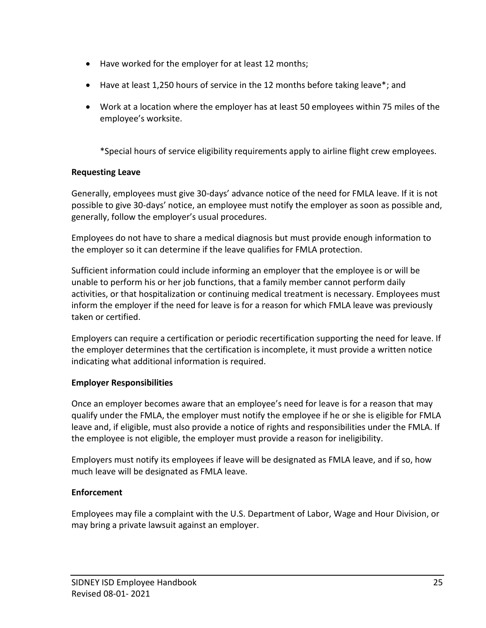- Have worked for the employer for at least 12 months;
- Have at least 1,250 hours of service in the 12 months before taking leave\*; and
- Work at a location where the employer has at least 50 employees within 75 miles of the employee's worksite.

\*Special hours of service eligibility requirements apply to airline flight crew employees.

#### **Requesting Leave**

Generally, employees must give 30-days' advance notice of the need for FMLA leave. If it is not possible to give 30-days' notice, an employee must notify the employer as soon as possible and, generally, follow the employer's usual procedures.

Employees do not have to share a medical diagnosis but must provide enough information to the employer so it can determine if the leave qualifies for FMLA protection.

Sufficient information could include informing an employer that the employee is or will be unable to perform his or her job functions, that a family member cannot perform daily activities, or that hospitalization or continuing medical treatment is necessary. Employees must inform the employer if the need for leave is for a reason for which FMLA leave was previously taken or certified.

Employers can require a certification or periodic recertification supporting the need for leave. If the employer determines that the certification is incomplete, it must provide a written notice indicating what additional information is required.

#### **Employer Responsibilities**

Once an employer becomes aware that an employee's need for leave is for a reason that may qualify under the FMLA, the employer must notify the employee if he or she is eligible for FMLA leave and, if eligible, must also provide a notice of rights and responsibilities under the FMLA. If the employee is not eligible, the employer must provide a reason for ineligibility.

Employers must notify its employees if leave will be designated as FMLA leave, and if so, how much leave will be designated as FMLA leave.

#### **Enforcement**

Employees may file a complaint with the U.S. Department of Labor, Wage and Hour Division, or may bring a private lawsuit against an employer.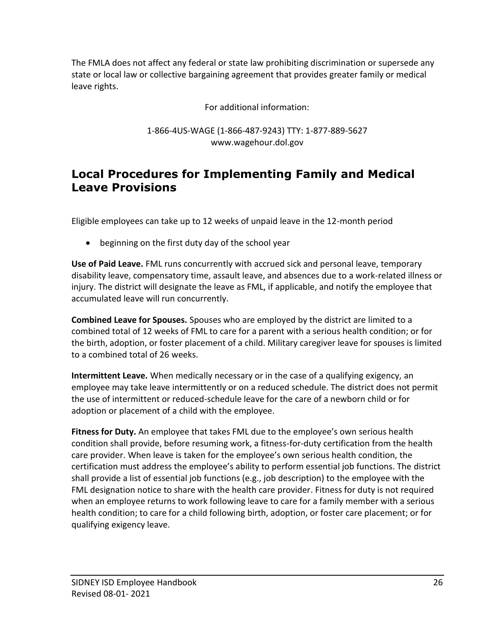The FMLA does not affect any federal or state law prohibiting discrimination or supersede any state or local law or collective bargaining agreement that provides greater family or medical leave rights.

For additional information:

1-866-4US-WAGE (1-866-487-9243) TTY: 1-877-889-5627 [www.wagehour.dol.gov](http://www.wagehour.dol.gov/)

### **Local Procedures for Implementing Family and Medical Leave Provisions**

Eligible employees can take up to 12 weeks of unpaid leave in the 12-month period

• beginning on the first duty day of the school year

**Use of Paid Leave.** FML runs concurrently with accrued sick and personal leave, temporary disability leave, compensatory time, assault leave, and absences due to a work-related illness or injury. The district will designate the leave as FML, if applicable, and notify the employee that accumulated leave will run concurrently.

**Combined Leave for Spouses.** Spouses who are employed by the district are limited to a combined total of 12 weeks of FML to care for a parent with a serious health condition; or for the birth, adoption, or foster placement of a child. Military caregiver leave for spouses is limited to a combined total of 26 weeks.

**Intermittent Leave.** When medically necessary or in the case of a qualifying exigency, an employee may take leave intermittently or on a reduced schedule. The district does not permit the use of intermittent or reduced-schedule leave for the care of a newborn child or for adoption or placement of a child with the employee.

**Fitness for Duty.** An employee that takes FML due to the employee's own serious health condition shall provide, before resuming work, a fitness-for-duty certification from the health care provider. When leave is taken for the employee's own serious health condition, the certification must address the employee's ability to perform essential job functions. The district shall provide a list of essential job functions (e.g., job description) to the employee with the FML designation notice to share with the health care provider. Fitness for duty is not required when an employee returns to work following leave to care for a family member with a serious health condition; to care for a child following birth, adoption, or foster care placement; or for qualifying exigency leave.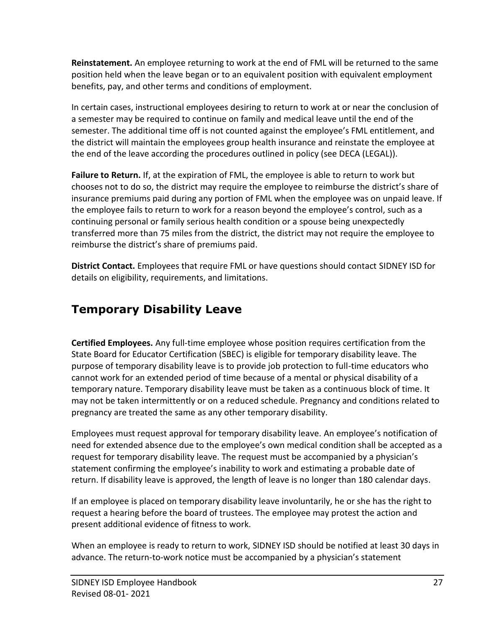**Reinstatement.** An employee returning to work at the end of FML will be returned to the same position held when the leave began or to an equivalent position with equivalent employment benefits, pay, and other terms and conditions of employment.

In certain cases, instructional employees desiring to return to work at or near the conclusion of a semester may be required to continue on family and medical leave until the end of the semester. The additional time off is not counted against the employee's FML entitlement, and the district will maintain the employees group health insurance and reinstate the employee at the end of the leave according the procedures outlined in policy (see DECA (LEGAL)).

**Failure to Return.** If, at the expiration of FML, the employee is able to return to work but chooses not to do so, the district may require the employee to reimburse the district's share of insurance premiums paid during any portion of FML when the employee was on unpaid leave. If the employee fails to return to work for a reason beyond the employee's control, such as a continuing personal or family serious health condition or a spouse being unexpectedly transferred more than 75 miles from the district, the district may not require the employee to reimburse the district's share of premiums paid.

**District Contact.** Employees that require FML or have questions should contact SIDNEY ISD for details on eligibility, requirements, and limitations.

## **Temporary Disability Leave**

**Certified Employees.** Any full-time employee whose position requires certification from the State Board for Educator Certification (SBEC) is eligible for temporary disability leave. The purpose of temporary disability leave is to provide job protection to full-time educators who cannot work for an extended period of time because of a mental or physical disability of a temporary nature. Temporary disability leave must be taken as a continuous block of time. It may not be taken intermittently or on a reduced schedule. Pregnancy and conditions related to pregnancy are treated the same as any other temporary disability.

Employees must request approval for temporary disability leave. An employee's notification of need for extended absence due to the employee's own medical condition shall be accepted as a request for temporary disability leave. The request must be accompanied by a physician's statement confirming the employee's inability to work and estimating a probable date of return. If disability leave is approved, the length of leave is no longer than 180 calendar days.

If an employee is placed on temporary disability leave involuntarily, he or she has the right to request a hearing before the board of trustees. The employee may protest the action and present additional evidence of fitness to work.

When an employee is ready to return to work, SIDNEY ISD should be notified at least 30 days in advance. The return-to-work notice must be accompanied by a physician's statement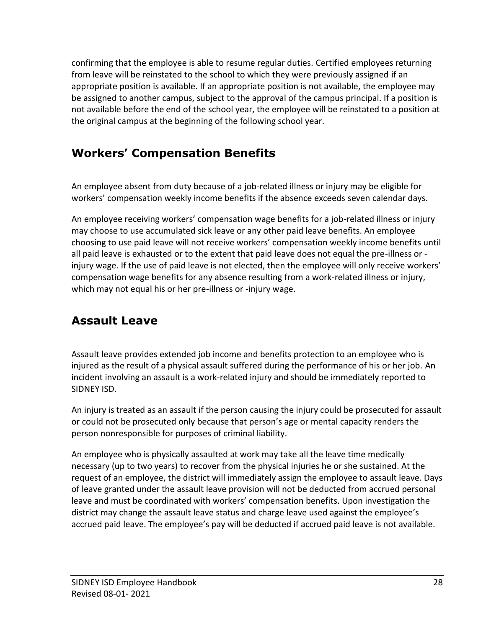confirming that the employee is able to resume regular duties. Certified employees returning from leave will be reinstated to the school to which they were previously assigned if an appropriate position is available. If an appropriate position is not available, the employee may be assigned to another campus, subject to the approval of the campus principal. If a position is not available before the end of the school year, the employee will be reinstated to a position at the original campus at the beginning of the following school year.

## **Workers' Compensation Benefits**

An employee absent from duty because of a job-related illness or injury may be eligible for workers' compensation weekly income benefits if the absence exceeds seven calendar days.

An employee receiving workers' compensation wage benefits for a job-related illness or injury may choose to use accumulated sick leave or any other paid leave benefits. An employee choosing to use paid leave will not receive workers' compensation weekly income benefits until all paid leave is exhausted or to the extent that paid leave does not equal the pre-illness or injury wage. If the use of paid leave is not elected, then the employee will only receive workers' compensation wage benefits for any absence resulting from a work-related illness or injury, which may not equal his or her pre-illness or -injury wage.

### **Assault Leave**

Assault leave provides extended job income and benefits protection to an employee who is injured as the result of a physical assault suffered during the performance of his or her job. An incident involving an assault is a work-related injury and should be immediately reported to SIDNEY ISD.

An injury is treated as an assault if the person causing the injury could be prosecuted for assault or could not be prosecuted only because that person's age or mental capacity renders the person nonresponsible for purposes of criminal liability.

An employee who is physically assaulted at work may take all the leave time medically necessary (up to two years) to recover from the physical injuries he or she sustained. At the request of an employee, the district will immediately assign the employee to assault leave. Days of leave granted under the assault leave provision will not be deducted from accrued personal leave and must be coordinated with workers' compensation benefits. Upon investigation the district may change the assault leave status and charge leave used against the employee's accrued paid leave. The employee's pay will be deducted if accrued paid leave is not available.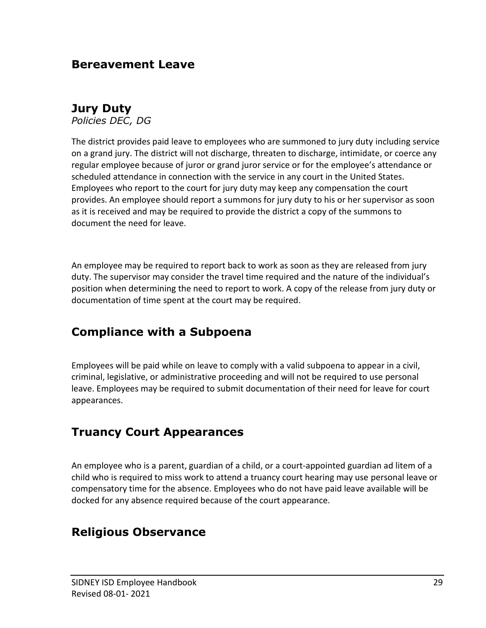### **Bereavement Leave**

### **Jury Duty**

*Policies DEC, DG*

The district provides paid leave to employees who are summoned to jury duty including service on a grand jury. The district will not discharge, threaten to discharge, intimidate, or coerce any regular employee because of juror or grand juror service or for the employee's attendance or scheduled attendance in connection with the service in any court in the United States. Employees who report to the court for jury duty may keep any compensation the court provides. An employee should report a summons for jury duty to his or her supervisor as soon as it is received and may be required to provide the district a copy of the summons to document the need for leave.

An employee may be required to report back to work as soon as they are released from jury duty. The supervisor may consider the travel time required and the nature of the individual's position when determining the need to report to work. A copy of the release from jury duty or documentation of time spent at the court may be required.

### **Compliance with a Subpoena**

Employees will be paid while on leave to comply with a valid subpoena to appear in a civil, criminal, legislative, or administrative proceeding and will not be required to use personal leave. Employees may be required to submit documentation of their need for leave for court appearances.

### **Truancy Court Appearances**

An employee who is a parent, guardian of a child, or a court-appointed guardian ad litem of a child who is required to miss work to attend a truancy court hearing may use personal leave or compensatory time for the absence. Employees who do not have paid leave available will be docked for any absence required because of the court appearance.

### **Religious Observance**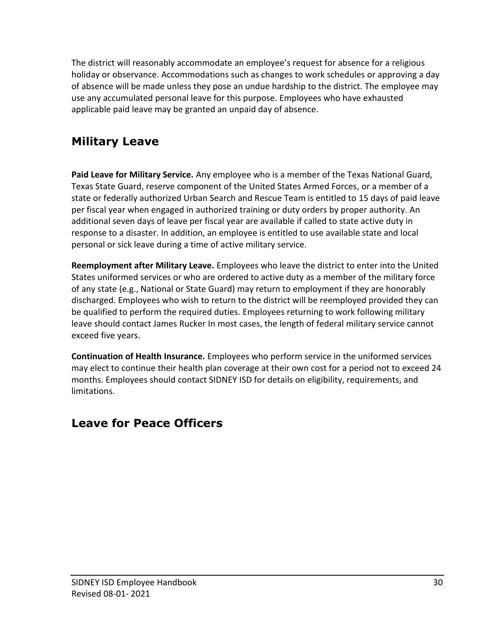The district will reasonably accommodate an employee's request for absence for a religious holiday or observance. Accommodations such as changes to work schedules or approving a day of absence will be made unless they pose an undue hardship to the district. The employee may use any accumulated personal leave for this purpose. Employees who have exhausted applicable paid leave may be granted an unpaid day of absence.

# **Military Leave**

**Paid Leave for Military Service.** Any employee who is a member of the Texas National Guard, Texas State Guard, reserve component of the United States Armed Forces, or a member of a state or federally authorized Urban Search and Rescue Team is entitled to 15 days of paid leave per fiscal year when engaged in authorized training or duty orders by proper authority. An additional seven days of leave per fiscal year are available if called to state active duty in response to a disaster. In addition, an employee is entitled to use available state and local personal or sick leave during a time of active military service.

**Reemployment after Military Leave.** Employees who leave the district to enter into the United States uniformed services or who are ordered to active duty as a member of the military force of any state (e.g., National or State Guard) may return to employment if they are honorably discharged. Employees who wish to return to the district will be reemployed provided they can be qualified to perform the required duties. Employees returning to work following military leave should contact James Rucker In most cases, the length of federal military service cannot exceed five years.

**Continuation of Health Insurance.** Employees who perform service in the uniformed services may elect to continue their health plan coverage at their own cost for a period not to exceed 24 months. Employees should contact SIDNEY ISD for details on eligibility, requirements, and limitations.

### **Leave for Peace Officers**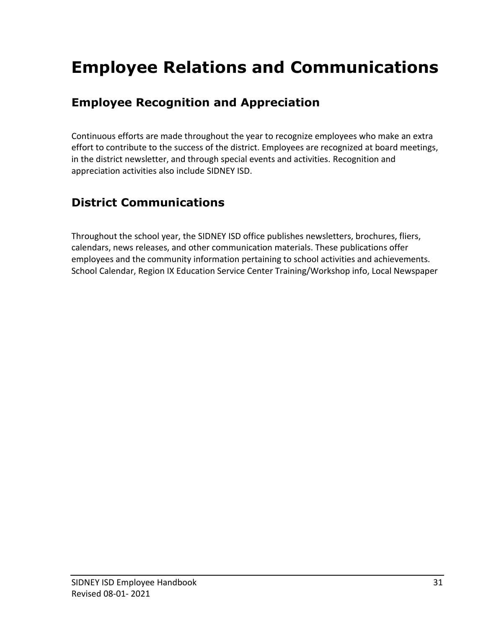# **Employee Relations and Communications**

### **Employee Recognition and Appreciation**

Continuous efforts are made throughout the year to recognize employees who make an extra effort to contribute to the success of the district. Employees are recognized at board meetings, in the district newsletter, and through special events and activities. Recognition and appreciation activities also include SIDNEY ISD.

# **District Communications**

Throughout the school year, the SIDNEY ISD office publishes newsletters, brochures, fliers, calendars, news releases, and other communication materials. These publications offer employees and the community information pertaining to school activities and achievements. School Calendar, Region IX Education Service Center Training/Workshop info, Local Newspaper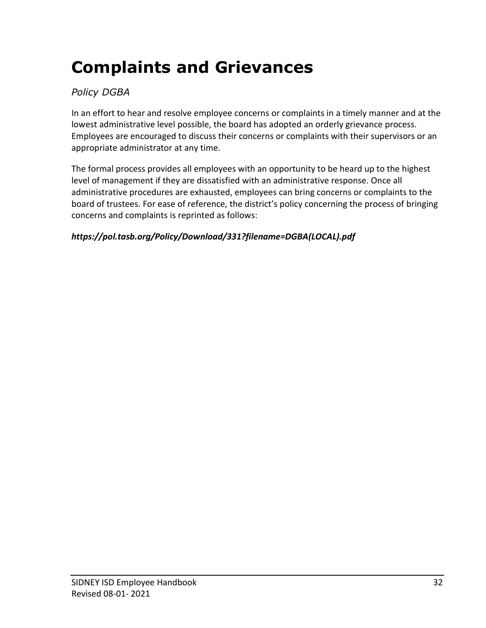# **Complaints and Grievances**

### *Policy DGBA*

In an effort to hear and resolve employee concerns or complaints in a timely manner and at the lowest administrative level possible, the board has adopted an orderly grievance process. Employees are encouraged to discuss their concerns or complaints with their supervisors or an appropriate administrator at any time.

The formal process provides all employees with an opportunity to be heard up to the highest level of management if they are dissatisfied with an administrative response. Once all administrative procedures are exhausted, employees can bring concerns or complaints to the board of trustees. For ease of reference, the district's policy concerning the process of bringing concerns and complaints is reprinted as follows:

### *https://pol.tasb.org/Policy/Download/331?filename=DGBA(LOCAL).pdf*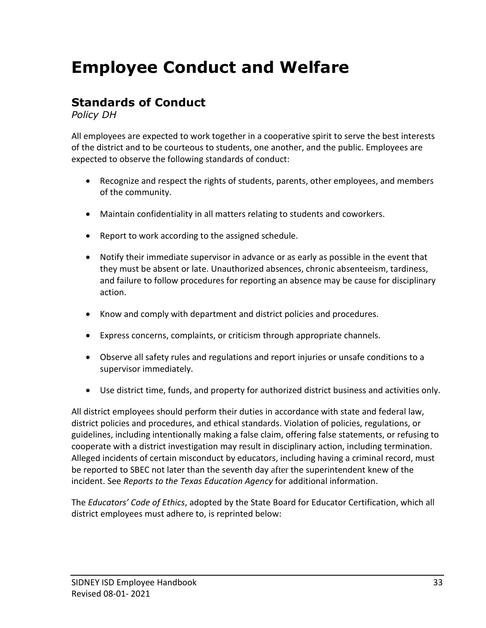# **Employee Conduct and Welfare**

### **Standards of Conduct**

*Policy DH*

All employees are expected to work together in a cooperative spirit to serve the best interests of the district and to be courteous to students, one another, and the public. Employees are expected to observe the following standards of conduct:

- Recognize and respect the rights of students, parents, other employees, and members of the community.
- Maintain confidentiality in all matters relating to students and coworkers.
- Report to work according to the assigned schedule.
- Notify their immediate supervisor in advance or as early as possible in the event that they must be absent or late. Unauthorized absences, chronic absenteeism, tardiness, and failure to follow procedures for reporting an absence may be cause for disciplinary action.
- Know and comply with department and district policies and procedures.
- Express concerns, complaints, or criticism through appropriate channels.
- Observe all safety rules and regulations and report injuries or unsafe conditions to a supervisor immediately.
- Use district time, funds, and property for authorized district business and activities only.

All district employees should perform their duties in accordance with state and federal law, district policies and procedures, and ethical standards. Violation of policies, regulations, or guidelines, including intentionally making a false claim, offering false statements, or refusing to cooperate with a district investigation may result in disciplinary action, including termination. Alleged incidents of certain misconduct by educators, including having a criminal record, must be reported to SBEC not later than the seventh day after the superintendent knew of the incident. See *Reports to the Texas Education Agency* for additional information.

The *Educators' Code of Ethics*, adopted by the State Board for Educator Certification, which all district employees must adhere to, is reprinted below: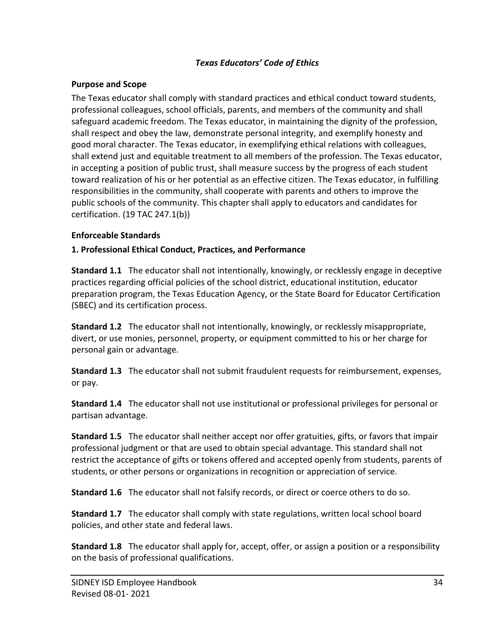#### *Texas Educators' Code of Ethics*

#### **Purpose and Scope**

The Texas educator shall comply with standard practices and ethical conduct toward students, professional colleagues, school officials, parents, and members of the community and shall safeguard academic freedom. The Texas educator, in maintaining the dignity of the profession, shall respect and obey the law, demonstrate personal integrity, and exemplify honesty and good moral character. The Texas educator, in exemplifying ethical relations with colleagues, shall extend just and equitable treatment to all members of the profession. The Texas educator, in accepting a position of public trust, shall measure success by the progress of each student toward realization of his or her potential as an effective citizen. The Texas educator, in fulfilling responsibilities in the community, shall cooperate with parents and others to improve the public schools of the community. This chapter shall apply to educators and candidates for certification. (19 TAC 247.1(b))

#### **Enforceable Standards**

#### **1. Professional Ethical Conduct, Practices, and Performance**

**Standard 1.1** The educator shall not intentionally, knowingly, or recklessly engage in deceptive practices regarding official policies of the school district, educational institution, educator preparation program, the Texas Education Agency, or the State Board for Educator Certification (SBEC) and its certification process.

**Standard 1.2** The educator shall not intentionally, knowingly, or recklessly misappropriate, divert, or use monies, personnel, property, or equipment committed to his or her charge for personal gain or advantage.

**Standard 1.3** The educator shall not submit fraudulent requests for reimbursement, expenses, or pay.

**Standard 1.4** The educator shall not use institutional or professional privileges for personal or partisan advantage.

**Standard 1.5** The educator shall neither accept nor offer gratuities, gifts, or favors that impair professional judgment or that are used to obtain special advantage. This standard shall not restrict the acceptance of gifts or tokens offered and accepted openly from students, parents of students, or other persons or organizations in recognition or appreciation of service.

**Standard 1.6** The educator shall not falsify records, or direct or coerce others to do so.

**Standard 1.7** The educator shall comply with state regulations, written local school board policies, and other state and federal laws.

**Standard 1.8** The educator shall apply for, accept, offer, or assign a position or a responsibility on the basis of professional qualifications.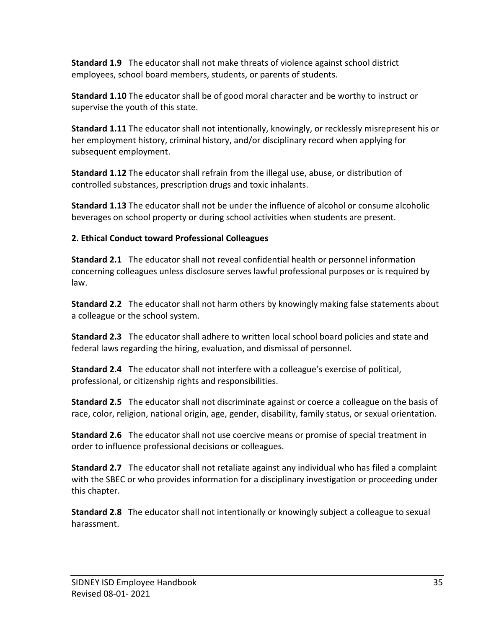**Standard 1.9** The educator shall not make threats of violence against school district employees, school board members, students, or parents of students.

**Standard 1.10** The educator shall be of good moral character and be worthy to instruct or supervise the youth of this state.

**Standard 1.11** The educator shall not intentionally, knowingly, or recklessly misrepresent his or her employment history, criminal history, and/or disciplinary record when applying for subsequent employment.

**Standard 1.12** The educator shall refrain from the illegal use, abuse, or distribution of controlled substances, prescription drugs and toxic inhalants.

**Standard 1.13** The educator shall not be under the influence of alcohol or consume alcoholic beverages on school property or during school activities when students are present.

#### **2. Ethical Conduct toward Professional Colleagues**

**Standard 2.1** The educator shall not reveal confidential health or personnel information concerning colleagues unless disclosure serves lawful professional purposes or is required by law.

**Standard 2.2** The educator shall not harm others by knowingly making false statements about a colleague or the school system.

**Standard 2.3** The educator shall adhere to written local school board policies and state and federal laws regarding the hiring, evaluation, and dismissal of personnel.

**Standard 2.4** The educator shall not interfere with a colleague's exercise of political, professional, or citizenship rights and responsibilities.

**Standard 2.5** The educator shall not discriminate against or coerce a colleague on the basis of race, color, religion, national origin, age, gender, disability, family status, or sexual orientation.

**Standard 2.6** The educator shall not use coercive means or promise of special treatment in order to influence professional decisions or colleagues.

**Standard 2.7** The educator shall not retaliate against any individual who has filed a complaint with the SBEC or who provides information for a disciplinary investigation or proceeding under this chapter.

**Standard 2.8** The educator shall not intentionally or knowingly subject a colleague to sexual harassment.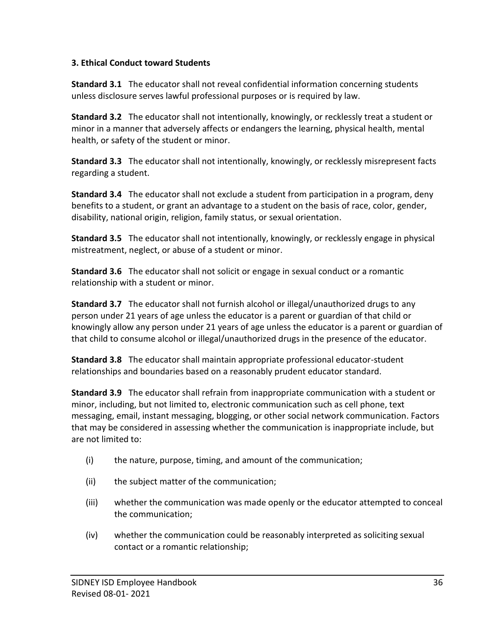#### **3. Ethical Conduct toward Students**

**Standard 3.1** The educator shall not reveal confidential information concerning students unless disclosure serves lawful professional purposes or is required by law.

**Standard 3.2** The educator shall not intentionally, knowingly, or recklessly treat a student or minor in a manner that adversely affects or endangers the learning, physical health, mental health, or safety of the student or minor.

**Standard 3.3** The educator shall not intentionally, knowingly, or recklessly misrepresent facts regarding a student.

**Standard 3.4** The educator shall not exclude a student from participation in a program, deny benefits to a student, or grant an advantage to a student on the basis of race, color, gender, disability, national origin, religion, family status, or sexual orientation.

**Standard 3.5** The educator shall not intentionally, knowingly, or recklessly engage in physical mistreatment, neglect, or abuse of a student or minor.

**Standard 3.6** The educator shall not solicit or engage in sexual conduct or a romantic relationship with a student or minor.

**Standard 3.7** The educator shall not furnish alcohol or illegal/unauthorized drugs to any person under 21 years of age unless the educator is a parent or guardian of that child or knowingly allow any person under 21 years of age unless the educator is a parent or guardian of that child to consume alcohol or illegal/unauthorized drugs in the presence of the educator.

**Standard 3.8** The educator shall maintain appropriate professional educator-student relationships and boundaries based on a reasonably prudent educator standard.

**Standard 3.9** The educator shall refrain from inappropriate communication with a student or minor, including, but not limited to, electronic communication such as cell phone, text messaging, email, instant messaging, blogging, or other social network communication. Factors that may be considered in assessing whether the communication is inappropriate include, but are not limited to:

- (i) the nature, purpose, timing, and amount of the communication;
- (ii) the subject matter of the communication;
- (iii) whether the communication was made openly or the educator attempted to conceal the communication;
- (iv) whether the communication could be reasonably interpreted as soliciting sexual contact or a romantic relationship;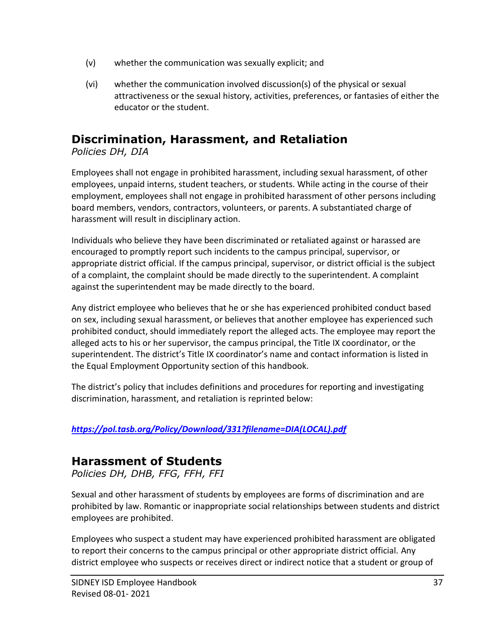- (v) whether the communication was sexually explicit; and
- (vi) whether the communication involved discussion(s) of the physical or sexual attractiveness or the sexual history, activities, preferences, or fantasies of either the educator or the student.

### **Discrimination, Harassment, and Retaliation**

*Policies DH, DIA*

Employees shall not engage in prohibited harassment, including sexual harassment, of other employees, unpaid interns, student teachers, or students. While acting in the course of their employment, employees shall not engage in prohibited harassment of other persons including board members, vendors, contractors, volunteers, or parents. A substantiated charge of harassment will result in disciplinary action.

Individuals who believe they have been discriminated or retaliated against or harassed are encouraged to promptly report such incidents to the campus principal, supervisor, or appropriate district official. If the campus principal, supervisor, or district official is the subject of a complaint, the complaint should be made directly to the superintendent. A complaint against the superintendent may be made directly to the board.

Any district employee who believes that he or she has experienced prohibited conduct based on sex, including sexual harassment, or believes that another employee has experienced such prohibited conduct, should immediately report the alleged acts. The employee may report the alleged acts to his or her supervisor, the campus principal, the Title IX coordinator, or the superintendent. The district's Title IX coordinator's name and contact information is listed in the Equal Employment Opportunity section of this handbook.

The district's policy that includes definitions and procedures for reporting and investigating discrimination, harassment, and retaliation is reprinted below:

#### *[https://pol.tasb.org/Policy/Download/331?filename=DIA\(LOCAL\).pdf](https://pol.tasb.org/Policy/Download/331?filename=DIA(LOCAL).pdf)*

### **Harassment of Students**

*Policies DH, DHB, FFG, FFH, FFI*

Sexual and other harassment of students by employees are forms of discrimination and are prohibited by law. Romantic or inappropriate social relationships between students and district employees are prohibited.

Employees who suspect a student may have experienced prohibited harassment are obligated to report their concerns to the campus principal or other appropriate district official. Any district employee who suspects or receives direct or indirect notice that a student or group of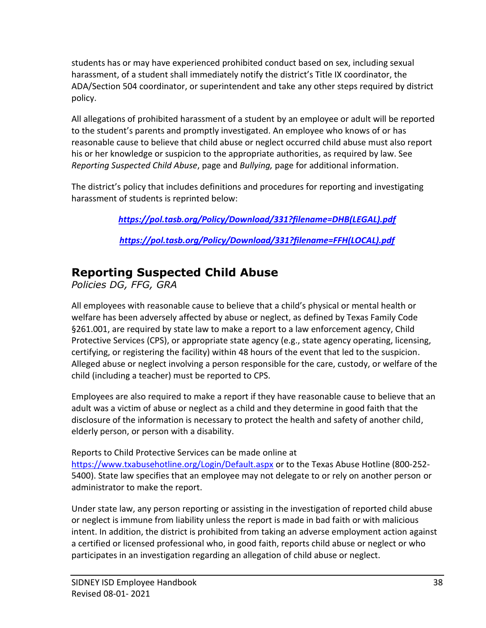students has or may have experienced prohibited conduct based on sex, including sexual harassment, of a student shall immediately notify the district's Title IX coordinator, the ADA/Section 504 coordinator, or superintendent and take any other steps required by district policy.

All allegations of prohibited harassment of a student by an employee or adult will be reported to the student's parents and promptly investigated. An employee who knows of or has reasonable cause to believe that child abuse or neglect occurred child abuse must also report his or her knowledge or suspicion to the appropriate authorities, as required by law. See *Reporting Suspected Child Abuse*, page and *Bullying,* page for additional information.

The district's policy that includes definitions and procedures for reporting and investigating harassment of students is reprinted below:

*[https://pol.tasb.org/Policy/Download/331?filename=DHB\(LEGAL\).pdf](https://pol.tasb.org/Policy/Download/331?filename=DHB(LEGAL).pdf)*

*[https://pol.tasb.org/Policy/Download/331?filename=FFH\(LOCAL\).pdf](https://pol.tasb.org/Policy/Download/331?filename=FFH(LOCAL).pdf)*

### **Reporting Suspected Child Abuse**

*Policies DG, FFG, GRA*

All employees with reasonable cause to believe that a child's physical or mental health or welfare has been adversely affected by abuse or neglect, as defined by Texas Family Code §261.001, are required by state law to make a report to a law enforcement agency, Child Protective Services (CPS), or appropriate state agency (e.g., state agency operating, licensing, certifying, or registering the facility) within 48 hours of the event that led to the suspicion. Alleged abuse or neglect involving a person responsible for the care, custody, or welfare of the child (including a teacher) must be reported to CPS.

Employees are also required to make a report if they have reasonable cause to believe that an adult was a victim of abuse or neglect as a child and they determine in good faith that the disclosure of the information is necessary to protect the health and safety of another child, elderly person, or person with a disability.

Reports to Child Protective Services can be made online at

<https://www.txabusehotline.org/Login/Default.aspx> or to the Texas Abuse Hotline (800-252- 5400). State law specifies that an employee may not delegate to or rely on another person or administrator to make the report.

Under state law, any person reporting or assisting in the investigation of reported child abuse or neglect is immune from liability unless the report is made in bad faith or with malicious intent. In addition, the district is prohibited from taking an adverse employment action against a certified or licensed professional who, in good faith, reports child abuse or neglect or who participates in an investigation regarding an allegation of child abuse or neglect.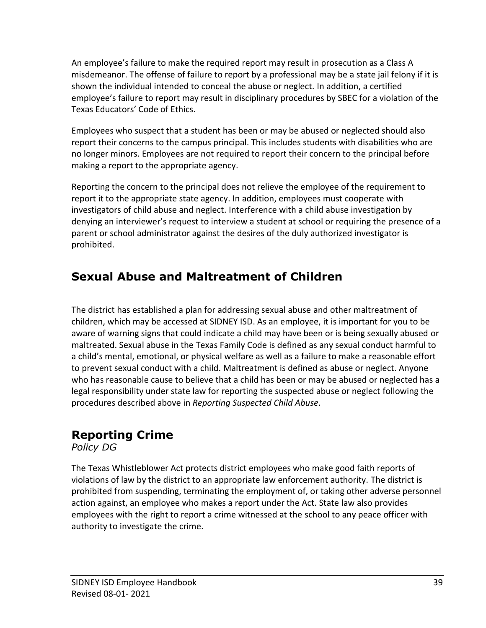An employee's failure to make the required report may result in prosecution as a Class A misdemeanor. The offense of failure to report by a professional may be a state jail felony if it is shown the individual intended to conceal the abuse or neglect. In addition, a certified employee's failure to report may result in disciplinary procedures by SBEC for a violation of the Texas Educators' Code of Ethics.

Employees who suspect that a student has been or may be abused or neglected should also report their concerns to the campus principal. This includes students with disabilities who are no longer minors. Employees are not required to report their concern to the principal before making a report to the appropriate agency.

Reporting the concern to the principal does not relieve the employee of the requirement to report it to the appropriate state agency. In addition, employees must cooperate with investigators of child abuse and neglect. Interference with a child abuse investigation by denying an interviewer's request to interview a student at school or requiring the presence of a parent or school administrator against the desires of the duly authorized investigator is prohibited.

## **Sexual Abuse and Maltreatment of Children**

The district has established a plan for addressing sexual abuse and other maltreatment of children, which may be accessed at SIDNEY ISD. As an employee, it is important for you to be aware of warning signs that could indicate a child may have been or is being sexually abused or maltreated. Sexual abuse in the Texas Family Code is defined as any sexual conduct harmful to a child's mental, emotional, or physical welfare as well as a failure to make a reasonable effort to prevent sexual conduct with a child. Maltreatment is defined as abuse or neglect. Anyone who has reasonable cause to believe that a child has been or may be abused or neglected has a legal responsibility under state law for reporting the suspected abuse or neglect following the procedures described above in *Reporting Suspected Child Abuse*.

# **Reporting Crime**

*Policy DG*

The Texas Whistleblower Act protects district employees who make good faith reports of violations of law by the district to an appropriate law enforcement authority. The district is prohibited from suspending, terminating the employment of, or taking other adverse personnel action against, an employee who makes a report under the Act. State law also provides employees with the right to report a crime witnessed at the school to any peace officer with authority to investigate the crime.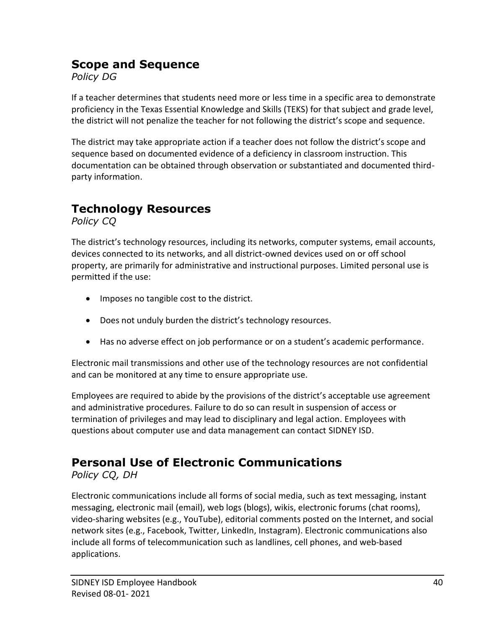### **Scope and Sequence**

*Policy DG*

If a teacher determines that students need more or less time in a specific area to demonstrate proficiency in the Texas Essential Knowledge and Skills (TEKS) for that subject and grade level, the district will not penalize the teacher for not following the district's scope and sequence.

The district may take appropriate action if a teacher does not follow the district's scope and sequence based on documented evidence of a deficiency in classroom instruction. This documentation can be obtained through observation or substantiated and documented thirdparty information.

# **Technology Resources**

*Policy CQ*

The district's technology resources, including its networks, computer systems, email accounts, devices connected to its networks, and all district-owned devices used on or off school property, are primarily for administrative and instructional purposes. Limited personal use is permitted if the use:

- Imposes no tangible cost to the district.
- Does not unduly burden the district's technology resources.
- Has no adverse effect on job performance or on a student's academic performance.

Electronic mail transmissions and other use of the technology resources are not confidential and can be monitored at any time to ensure appropriate use.

Employees are required to abide by the provisions of the district's acceptable use agreement and administrative procedures. Failure to do so can result in suspension of access or termination of privileges and may lead to disciplinary and legal action. Employees with questions about computer use and data management can contact SIDNEY ISD.

# **Personal Use of Electronic Communications**

*Policy CQ, DH*

Electronic communications include all forms of social media, such as text messaging, instant messaging, electronic mail (email), web logs (blogs), wikis, electronic forums (chat rooms), video-sharing websites (e.g., YouTube), editorial comments posted on the Internet, and social network sites (e.g., Facebook, Twitter, LinkedIn, Instagram). Electronic communications also include all forms of telecommunication such as landlines, cell phones, and web-based applications.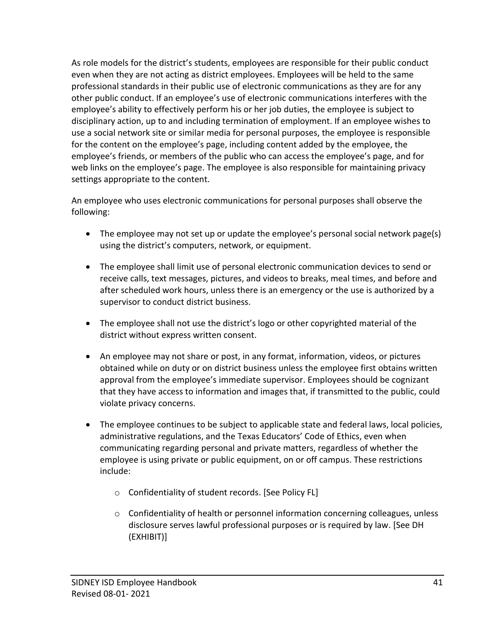As role models for the district's students, employees are responsible for their public conduct even when they are not acting as district employees. Employees will be held to the same professional standards in their public use of electronic communications as they are for any other public conduct. If an employee's use of electronic communications interferes with the employee's ability to effectively perform his or her job duties, the employee is subject to disciplinary action, up to and including termination of employment. If an employee wishes to use a social network site or similar media for personal purposes, the employee is responsible for the content on the employee's page, including content added by the employee, the employee's friends, or members of the public who can access the employee's page, and for web links on the employee's page. The employee is also responsible for maintaining privacy settings appropriate to the content.

An employee who uses electronic communications for personal purposes shall observe the following:

- The employee may not set up or update the employee's personal social network page(s) using the district's computers, network, or equipment.
- The employee shall limit use of personal electronic communication devices to send or receive calls, text messages, pictures, and videos to breaks, meal times, and before and after scheduled work hours, unless there is an emergency or the use is authorized by a supervisor to conduct district business.
- The employee shall not use the district's logo or other copyrighted material of the district without express written consent.
- An employee may not share or post, in any format, information, videos, or pictures obtained while on duty or on district business unless the employee first obtains written approval from the employee's immediate supervisor. Employees should be cognizant that they have access to information and images that, if transmitted to the public, could violate privacy concerns.
- The employee continues to be subject to applicable state and federal laws, local policies, administrative regulations, and the Texas Educators' Code of Ethics, even when communicating regarding personal and private matters, regardless of whether the employee is using private or public equipment, on or off campus. These restrictions include:
	- o Confidentiality of student records. [See Policy FL]
	- $\circ$  Confidentiality of health or personnel information concerning colleagues, unless disclosure serves lawful professional purposes or is required by law. [See DH (EXHIBIT)]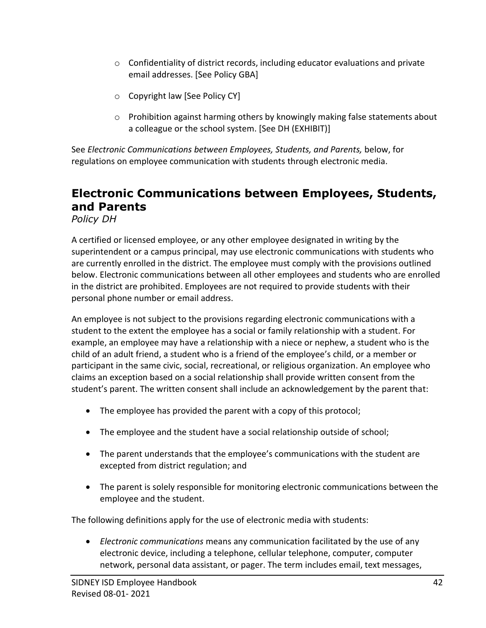- $\circ$  Confidentiality of district records, including educator evaluations and private email addresses. [See Policy GBA]
- o Copyright law [See Policy CY]
- o Prohibition against harming others by knowingly making false statements about a colleague or the school system. [See DH (EXHIBIT)]

See *Electronic Communications between Employees, Students, and Parents,* below, for regulations on employee communication with students through electronic media.

# **Electronic Communications between Employees, Students, and Parents**

*Policy DH*

A certified or licensed employee, or any other employee designated in writing by the superintendent or a campus principal, may use electronic communications with students who are currently enrolled in the district. The employee must comply with the provisions outlined below. Electronic communications between all other employees and students who are enrolled in the district are prohibited. Employees are not required to provide students with their personal phone number or email address.

An employee is not subject to the provisions regarding electronic communications with a student to the extent the employee has a social or family relationship with a student. For example, an employee may have a relationship with a niece or nephew, a student who is the child of an adult friend, a student who is a friend of the employee's child, or a member or participant in the same civic, social, recreational, or religious organization. An employee who claims an exception based on a social relationship shall provide written consent from the student's parent. The written consent shall include an acknowledgement by the parent that:

- The employee has provided the parent with a copy of this protocol;
- The employee and the student have a social relationship outside of school;
- The parent understands that the employee's communications with the student are excepted from district regulation; and
- The parent is solely responsible for monitoring electronic communications between the employee and the student.

The following definitions apply for the use of electronic media with students:

• *Electronic communications* means any communication facilitated by the use of any electronic device, including a telephone, cellular telephone, computer, computer network, personal data assistant, or pager. The term includes email, text messages,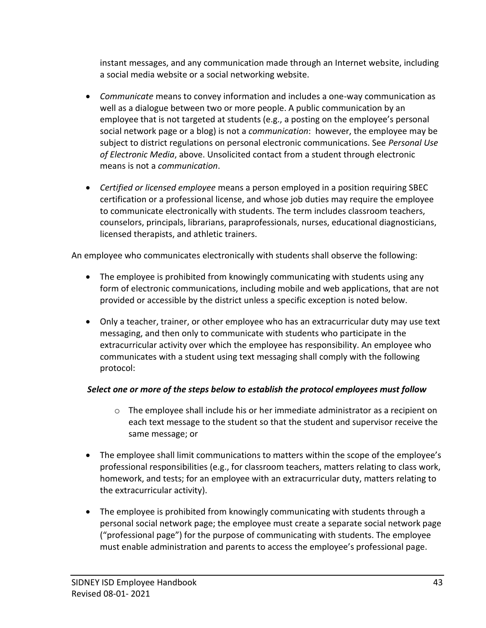instant messages, and any communication made through an Internet website, including a social media website or a social networking website.

- *Communicate* means to convey information and includes a one-way communication as well as a dialogue between two or more people. A public communication by an employee that is not targeted at students (e.g., a posting on the employee's personal social network page or a blog) is not a *communication*: however, the employee may be subject to district regulations on personal electronic communications. See *Personal Use of Electronic Media*, above. Unsolicited contact from a student through electronic means is not a *communication*.
- *Certified or licensed employee* means a person employed in a position requiring SBEC certification or a professional license, and whose job duties may require the employee to communicate electronically with students. The term includes classroom teachers, counselors, principals, librarians, paraprofessionals, nurses, educational diagnosticians, licensed therapists, and athletic trainers.

An employee who communicates electronically with students shall observe the following:

- The employee is prohibited from knowingly communicating with students using any form of electronic communications, including mobile and web applications, that are not provided or accessible by the district unless a specific exception is noted below.
- Only a teacher, trainer, or other employee who has an extracurricular duty may use text messaging, and then only to communicate with students who participate in the extracurricular activity over which the employee has responsibility. An employee who communicates with a student using text messaging shall comply with the following protocol:

#### *Select one or more of the steps below to establish the protocol employees must follow*

- $\circ$  The employee shall include his or her immediate administrator as a recipient on each text message to the student so that the student and supervisor receive the same message; or
- The employee shall limit communications to matters within the scope of the employee's professional responsibilities (e.g., for classroom teachers, matters relating to class work, homework, and tests; for an employee with an extracurricular duty, matters relating to the extracurricular activity).
- The employee is prohibited from knowingly communicating with students through a personal social network page; the employee must create a separate social network page ("professional page") for the purpose of communicating with students. The employee must enable administration and parents to access the employee's professional page.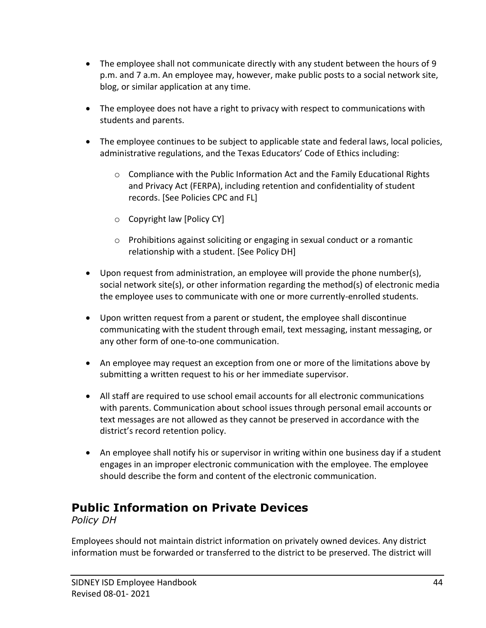- The employee shall not communicate directly with any student between the hours of 9 p.m. and 7 a.m. An employee may, however, make public posts to a social network site, blog, or similar application at any time.
- The employee does not have a right to privacy with respect to communications with students and parents.
- The employee continues to be subject to applicable state and federal laws, local policies, administrative regulations, and the Texas Educators' Code of Ethics including:
	- o Compliance with the Public Information Act and the Family Educational Rights and Privacy Act (FERPA), including retention and confidentiality of student records. [See Policies CPC and FL]
	- o Copyright law [Policy CY]
	- $\circ$  Prohibitions against soliciting or engaging in sexual conduct or a romantic relationship with a student. [See Policy DH]
- Upon request from administration, an employee will provide the phone number(s), social network site(s), or other information regarding the method(s) of electronic media the employee uses to communicate with one or more currently-enrolled students.
- Upon written request from a parent or student, the employee shall discontinue communicating with the student through email, text messaging, instant messaging, or any other form of one-to-one communication.
- An employee may request an exception from one or more of the limitations above by submitting a written request to his or her immediate supervisor.
- All staff are required to use school email accounts for all electronic communications with parents. Communication about school issues through personal email accounts or text messages are not allowed as they cannot be preserved in accordance with the district's record retention policy.
- An employee shall notify his or supervisor in writing within one business day if a student engages in an improper electronic communication with the employee. The employee should describe the form and content of the electronic communication.

### **Public Information on Private Devices**

*Policy DH*

Employees should not maintain district information on privately owned devices. Any district information must be forwarded or transferred to the district to be preserved. The district will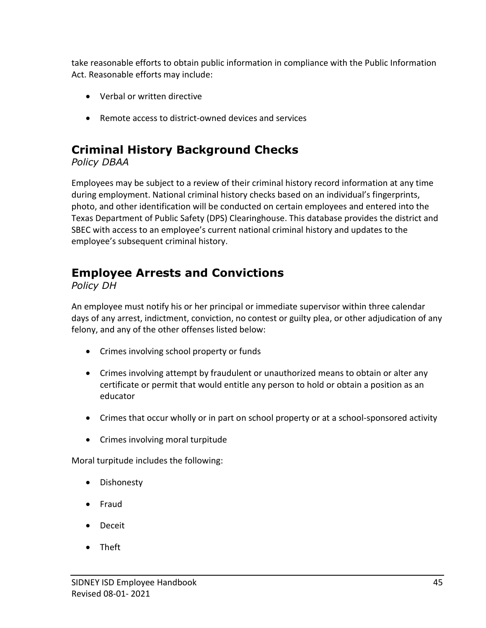take reasonable efforts to obtain public information in compliance with the Public Information Act. Reasonable efforts may include:

- Verbal or written directive
- Remote access to district-owned devices and services

## **Criminal History Background Checks**

*Policy DBAA*

Employees may be subject to a review of their criminal history record information at any time during employment. National criminal history checks based on an individual's fingerprints, photo, and other identification will be conducted on certain employees and entered into the Texas Department of Public Safety (DPS) Clearinghouse. This database provides the district and SBEC with access to an employee's current national criminal history and updates to the employee's subsequent criminal history.

## **Employee Arrests and Convictions**

*Policy DH*

An employee must notify his or her principal or immediate supervisor within three calendar days of any arrest, indictment, conviction, no contest or guilty plea, or other adjudication of any felony, and any of the other offenses listed below:

- Crimes involving school property or funds
- Crimes involving attempt by fraudulent or unauthorized means to obtain or alter any certificate or permit that would entitle any person to hold or obtain a position as an educator
- Crimes that occur wholly or in part on school property or at a school-sponsored activity
- Crimes involving moral turpitude

Moral turpitude includes the following:

- Dishonesty
- Fraud
- Deceit
- Theft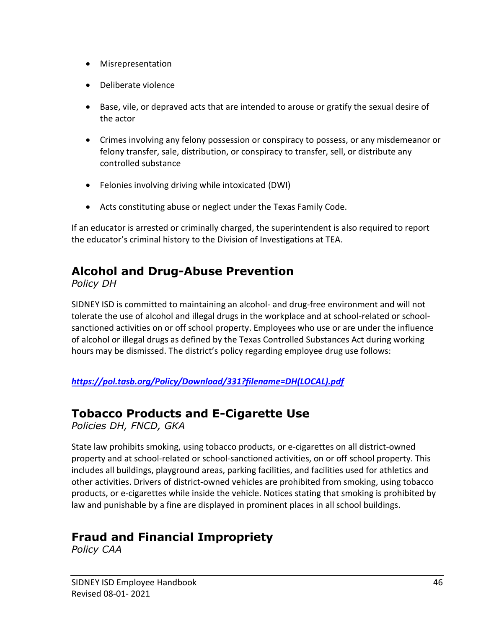- Misrepresentation
- Deliberate violence
- Base, vile, or depraved acts that are intended to arouse or gratify the sexual desire of the actor
- Crimes involving any felony possession or conspiracy to possess, or any misdemeanor or felony transfer, sale, distribution, or conspiracy to transfer, sell, or distribute any controlled substance
- Felonies involving driving while intoxicated (DWI)
- Acts constituting abuse or neglect under the Texas Family Code.

If an educator is arrested or criminally charged, the superintendent is also required to report the educator's criminal history to the Division of Investigations at TEA.

## **Alcohol and Drug-Abuse Prevention**

*Policy DH*

SIDNEY ISD is committed to maintaining an alcohol- and drug-free environment and will not tolerate the use of alcohol and illegal drugs in the workplace and at school-related or schoolsanctioned activities on or off school property. Employees who use or are under the influence of alcohol or illegal drugs as defined by the Texas Controlled Substances Act during working hours may be dismissed. The district's policy regarding employee drug use follows:

*[https://pol.tasb.org/Policy/Download/331?filename=DH\(LOCAL\).pdf](https://pol.tasb.org/Policy/Download/331?filename=DH(LOCAL).pdf)*

### **Tobacco Products and E-Cigarette Use**

*Policies DH, FNCD, GKA*

State law prohibits smoking, using tobacco products, or e-cigarettes on all district-owned property and at school-related or school-sanctioned activities, on or off school property. This includes all buildings, playground areas, parking facilities, and facilities used for athletics and other activities. Drivers of district-owned vehicles are prohibited from smoking, using tobacco products, or e-cigarettes while inside the vehicle. Notices stating that smoking is prohibited by law and punishable by a fine are displayed in prominent places in all school buildings.

### **Fraud and Financial Impropriety**

*Policy CAA*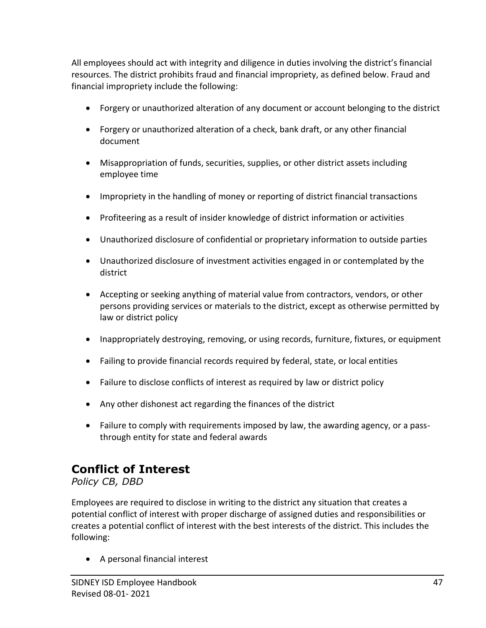All employees should act with integrity and diligence in duties involving the district's financial resources. The district prohibits fraud and financial impropriety, as defined below. Fraud and financial impropriety include the following:

- Forgery or unauthorized alteration of any document or account belonging to the district
- Forgery or unauthorized alteration of a check, bank draft, or any other financial document
- Misappropriation of funds, securities, supplies, or other district assets including employee time
- Impropriety in the handling of money or reporting of district financial transactions
- Profiteering as a result of insider knowledge of district information or activities
- Unauthorized disclosure of confidential or proprietary information to outside parties
- Unauthorized disclosure of investment activities engaged in or contemplated by the district
- Accepting or seeking anything of material value from contractors, vendors, or other persons providing services or materials to the district, except as otherwise permitted by law or district policy
- Inappropriately destroying, removing, or using records, furniture, fixtures, or equipment
- Failing to provide financial records required by federal, state, or local entities
- Failure to disclose conflicts of interest as required by law or district policy
- Any other dishonest act regarding the finances of the district
- Failure to comply with requirements imposed by law, the awarding agency, or a passthrough entity for state and federal awards

### **Conflict of Interest**

*Policy CB, DBD*

Employees are required to disclose in writing to the district any situation that creates a potential conflict of interest with proper discharge of assigned duties and responsibilities or creates a potential conflict of interest with the best interests of the district. This includes the following:

• A personal financial interest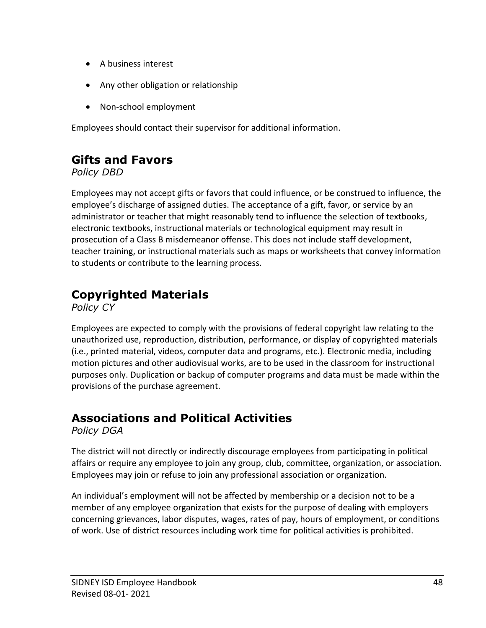- A business interest
- Any other obligation or relationship
- Non-school employment

Employees should contact their supervisor for additional information.

### **Gifts and Favors**

*Policy DBD*

Employees may not accept gifts or favors that could influence, or be construed to influence, the employee's discharge of assigned duties. The acceptance of a gift, favor, or service by an administrator or teacher that might reasonably tend to influence the selection of textbooks, electronic textbooks, instructional materials or technological equipment may result in prosecution of a Class B misdemeanor offense. This does not include staff development, teacher training, or instructional materials such as maps or worksheets that convey information to students or contribute to the learning process.

## **Copyrighted Materials**

*Policy CY*

Employees are expected to comply with the provisions of federal copyright law relating to the unauthorized use, reproduction, distribution, performance, or display of copyrighted materials (i.e., printed material, videos, computer data and programs, etc.). Electronic media, including motion pictures and other audiovisual works, are to be used in the classroom for instructional purposes only. Duplication or backup of computer programs and data must be made within the provisions of the purchase agreement.

# **Associations and Political Activities**

*Policy DGA*

The district will not directly or indirectly discourage employees from participating in political affairs or require any employee to join any group, club, committee, organization, or association. Employees may join or refuse to join any professional association or organization.

An individual's employment will not be affected by membership or a decision not to be a member of any employee organization that exists for the purpose of dealing with employers concerning grievances, labor disputes, wages, rates of pay, hours of employment, or conditions of work. Use of district resources including work time for political activities is prohibited.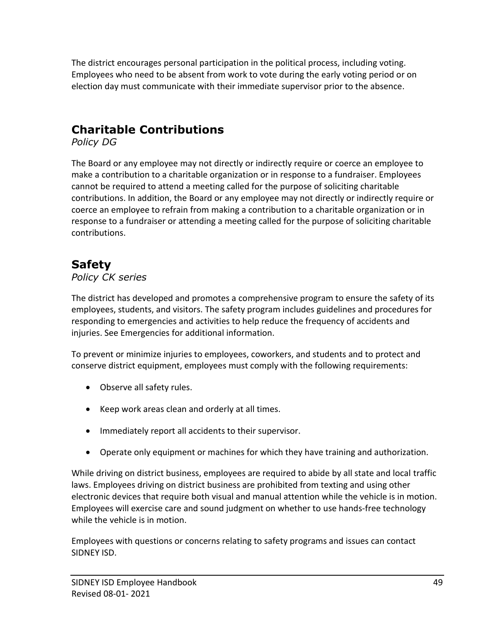The district encourages personal participation in the political process, including voting. Employees who need to be absent from work to vote during the early voting period or on election day must communicate with their immediate supervisor prior to the absence.

## **Charitable Contributions**

*Policy DG*

The Board or any employee may not directly or indirectly require or coerce an employee to make a contribution to a charitable organization or in response to a fundraiser. Employees cannot be required to attend a meeting called for the purpose of soliciting charitable contributions. In addition, the Board or any employee may not directly or indirectly require or coerce an employee to refrain from making a contribution to a charitable organization or in response to a fundraiser or attending a meeting called for the purpose of soliciting charitable contributions.

### **Safety**

#### *Policy CK series*

The district has developed and promotes a comprehensive program to ensure the safety of its employees, students, and visitors. The safety program includes guidelines and procedures for responding to emergencies and activities to help reduce the frequency of accidents and injuries. See Emergencies for additional information.

To prevent or minimize injuries to employees, coworkers, and students and to protect and conserve district equipment, employees must comply with the following requirements:

- Observe all safety rules.
- Keep work areas clean and orderly at all times.
- Immediately report all accidents to their supervisor.
- Operate only equipment or machines for which they have training and authorization.

While driving on district business, employees are required to abide by all state and local traffic laws. Employees driving on district business are prohibited from texting and using other electronic devices that require both visual and manual attention while the vehicle is in motion. Employees will exercise care and sound judgment on whether to use hands-free technology while the vehicle is in motion.

Employees with questions or concerns relating to safety programs and issues can contact SIDNEY ISD.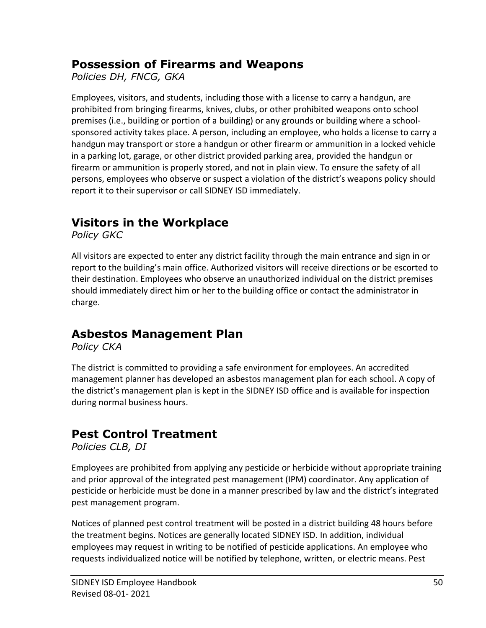### **Possession of Firearms and Weapons**

*Policies DH, FNCG, GKA*

Employees, visitors, and students, including those with a license to carry a handgun, are prohibited from bringing firearms, knives, clubs, or other prohibited weapons onto school premises (i.e., building or portion of a building) or any grounds or building where a schoolsponsored activity takes place. A person, including an employee, who holds a license to carry a handgun may transport or store a handgun or other firearm or ammunition in a locked vehicle in a parking lot, garage, or other district provided parking area, provided the handgun or firearm or ammunition is properly stored, and not in plain view. To ensure the safety of all persons, employees who observe or suspect a violation of the district's weapons policy should report it to their supervisor or call SIDNEY ISD immediately.

# **Visitors in the Workplace**

*Policy GKC*

All visitors are expected to enter any district facility through the main entrance and sign in or report to the building's main office. Authorized visitors will receive directions or be escorted to their destination. Employees who observe an unauthorized individual on the district premises should immediately direct him or her to the building office or contact the administrator in charge.

# **Asbestos Management Plan**

*Policy CKA*

The district is committed to providing a safe environment for employees. An accredited management planner has developed an asbestos management plan for each school. A copy of the district's management plan is kept in the SIDNEY ISD office and is available for inspection during normal business hours.

### **Pest Control Treatment**

*Policies CLB, DI*

Employees are prohibited from applying any pesticide or herbicide without appropriate training and prior approval of the integrated pest management (IPM) coordinator. Any application of pesticide or herbicide must be done in a manner prescribed by law and the district's integrated pest management program.

Notices of planned pest control treatment will be posted in a district building 48 hours before the treatment begins. Notices are generally located SIDNEY ISD. In addition, individual employees may request in writing to be notified of pesticide applications. An employee who requests individualized notice will be notified by telephone, written, or electric means. Pest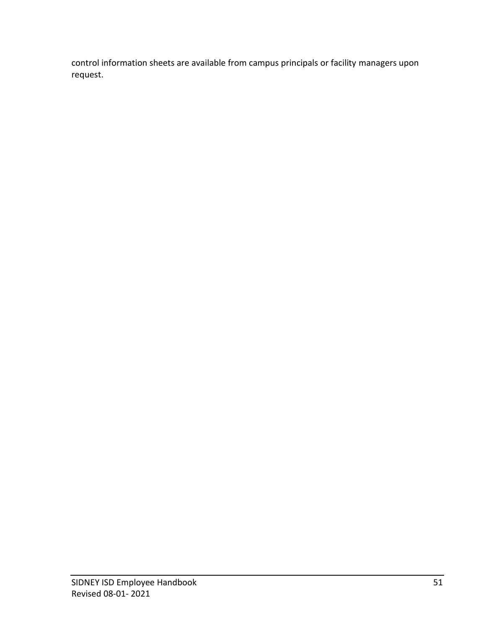control information sheets are available from campus principals or facility managers upon request.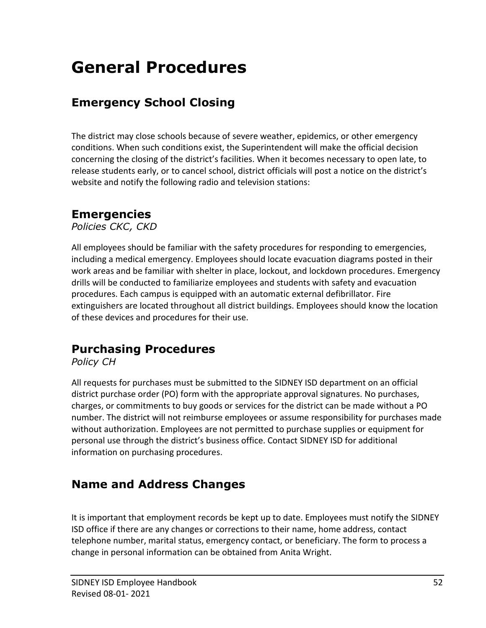# **General Procedures**

# **Emergency School Closing**

The district may close schools because of severe weather, epidemics, or other emergency conditions. When such conditions exist, the Superintendent will make the official decision concerning the closing of the district's facilities. When it becomes necessary to open late, to release students early, or to cancel school, district officials will post a notice on the district's website and notify the following radio and television stations:

### **Emergencies**

*Policies CKC, CKD*

All employees should be familiar with the safety procedures for responding to emergencies, including a medical emergency. Employees should locate evacuation diagrams posted in their work areas and be familiar with shelter in place, lockout, and lockdown procedures. Emergency drills will be conducted to familiarize employees and students with safety and evacuation procedures. Each campus is equipped with an automatic external defibrillator. Fire extinguishers are located throughout all district buildings. Employees should know the location of these devices and procedures for their use.

# **Purchasing Procedures**

*Policy CH*

All requests for purchases must be submitted to the SIDNEY ISD department on an official district purchase order (PO) form with the appropriate approval signatures. No purchases, charges, or commitments to buy goods or services for the district can be made without a PO number. The district will not reimburse employees or assume responsibility for purchases made without authorization. Employees are not permitted to purchase supplies or equipment for personal use through the district's business office. Contact SIDNEY ISD for additional information on purchasing procedures.

### **Name and Address Changes**

It is important that employment records be kept up to date. Employees must notify the SIDNEY ISD office if there are any changes or corrections to their name, home address, contact telephone number, marital status, emergency contact, or beneficiary. The form to process a change in personal information can be obtained from Anita Wright.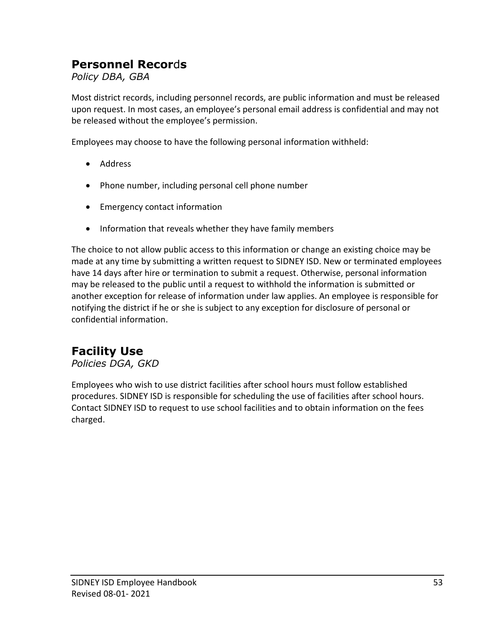### **Personnel Recor**d**s**

#### *Policy DBA, GBA*

Most district records, including personnel records, are public information and must be released upon request. In most cases, an employee's personal email address is confidential and may not be released without the employee's permission.

Employees may choose to have the following personal information withheld:

- Address
- Phone number, including personal cell phone number
- Emergency contact information
- Information that reveals whether they have family members

The choice to not allow public access to this information or change an existing choice may be made at any time by submitting a written request to SIDNEY ISD. New or terminated employees have 14 days after hire or termination to submit a request. Otherwise, personal information may be released to the public until a request to withhold the information is submitted or another exception for release of information under law applies. An employee is responsible for notifying the district if he or she is subject to any exception for disclosure of personal or confidential information.

# **Facility Use**

*Policies DGA, GKD*

Employees who wish to use district facilities after school hours must follow established procedures. SIDNEY ISD is responsible for scheduling the use of facilities after school hours. Contact SIDNEY ISD to request to use school facilities and to obtain information on the fees charged.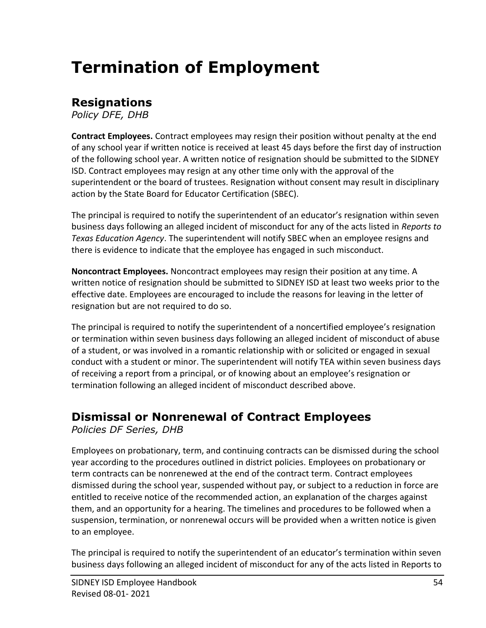# **Termination of Employment**

## **Resignations**

*Policy DFE, DHB*

**Contract Employees.** Contract employees may resign their position without penalty at the end of any school year if written notice is received at least 45 days before the first day of instruction of the following school year. A written notice of resignation should be submitted to the SIDNEY ISD. Contract employees may resign at any other time only with the approval of the superintendent or the board of trustees. Resignation without consent may result in disciplinary action by the State Board for Educator Certification (SBEC).

The principal is required to notify the superintendent of an educator's resignation within seven business days following an alleged incident of misconduct for any of the acts listed in *Reports to Texas Education Agency*. The superintendent will notify SBEC when an employee resigns and there is evidence to indicate that the employee has engaged in such misconduct.

**Noncontract Employees.** Noncontract employees may resign their position at any time. A written notice of resignation should be submitted to SIDNEY ISD at least two weeks prior to the effective date. Employees are encouraged to include the reasons for leaving in the letter of resignation but are not required to do so.

The principal is required to notify the superintendent of a noncertified employee's resignation or termination within seven business days following an alleged incident of misconduct of abuse of a student, or was involved in a romantic relationship with or solicited or engaged in sexual conduct with a student or minor. The superintendent will notify TEA within seven business days of receiving a report from a principal, or of knowing about an employee's resignation or termination following an alleged incident of misconduct described above.

# **Dismissal or Nonrenewal of Contract Employees**

*Policies DF Series, DHB*

Employees on probationary, term, and continuing contracts can be dismissed during the school year according to the procedures outlined in district policies. Employees on probationary or term contracts can be nonrenewed at the end of the contract term. Contract employees dismissed during the school year, suspended without pay, or subject to a reduction in force are entitled to receive notice of the recommended action, an explanation of the charges against them, and an opportunity for a hearing. The timelines and procedures to be followed when a suspension, termination, or nonrenewal occurs will be provided when a written notice is given to an employee.

The principal is required to notify the superintendent of an educator's termination within seven business days following an alleged incident of misconduct for any of the acts listed in Reports to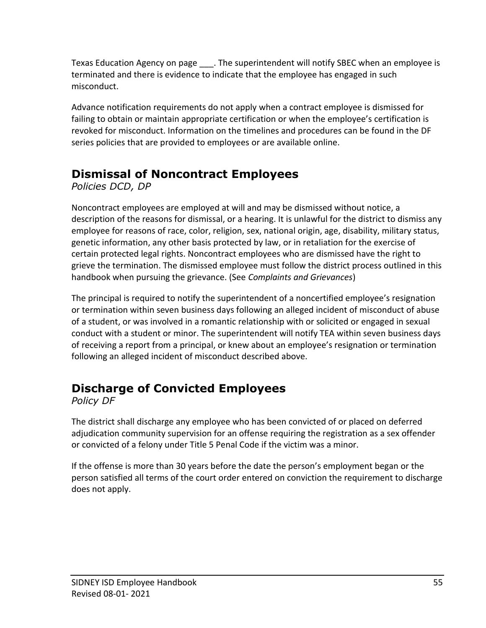Texas Education Agency on page . The superintendent will notify SBEC when an employee is terminated and there is evidence to indicate that the employee has engaged in such misconduct.

Advance notification requirements do not apply when a contract employee is dismissed for failing to obtain or maintain appropriate certification or when the employee's certification is revoked for misconduct. Information on the timelines and procedures can be found in the DF series policies that are provided to employees or are available online.

## **Dismissal of Noncontract Employees**

*Policies DCD, DP*

Noncontract employees are employed at will and may be dismissed without notice, a description of the reasons for dismissal, or a hearing. It is unlawful for the district to dismiss any employee for reasons of race, color, religion, sex, national origin, age, disability, military status, genetic information, any other basis protected by law, or in retaliation for the exercise of certain protected legal rights. Noncontract employees who are dismissed have the right to grieve the termination. The dismissed employee must follow the district process outlined in this handbook when pursuing the grievance. (See *Complaints and Grievances*)

The principal is required to notify the superintendent of a noncertified employee's resignation or termination within seven business days following an alleged incident of misconduct of abuse of a student, or was involved in a romantic relationship with or solicited or engaged in sexual conduct with a student or minor. The superintendent will notify TEA within seven business days of receiving a report from a principal, or knew about an employee's resignation or termination following an alleged incident of misconduct described above.

# **Discharge of Convicted Employees**

*Policy DF*

The district shall discharge any employee who has been convicted of or placed on deferred adjudication community supervision for an offense requiring the registration as a sex offender or convicted of a felony under Title 5 Penal Code if the victim was a minor.

If the offense is more than 30 years before the date the person's employment began or the person satisfied all terms of the court order entered on conviction the requirement to discharge does not apply.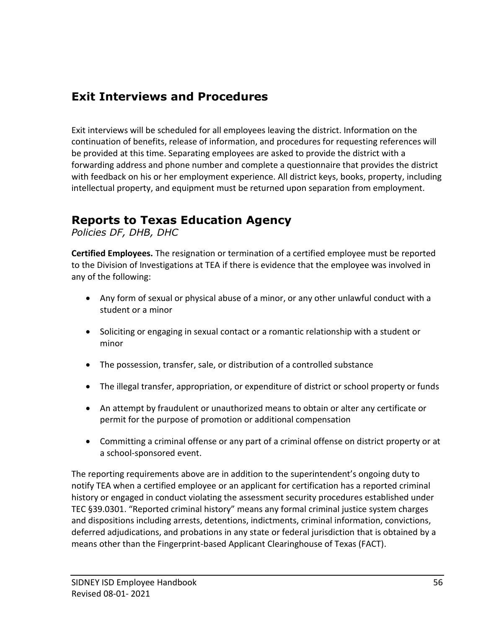### **Exit Interviews and Procedures**

Exit interviews will be scheduled for all employees leaving the district. Information on the continuation of benefits, release of information, and procedures for requesting references will be provided at this time. Separating employees are asked to provide the district with a forwarding address and phone number and complete a questionnaire that provides the district with feedback on his or her employment experience. All district keys, books, property, including intellectual property, and equipment must be returned upon separation from employment.

### **Reports to Texas Education Agency**

*Policies DF, DHB, DHC*

**Certified Employees.** The resignation or termination of a certified employee must be reported to the Division of Investigations at TEA if there is evidence that the employee was involved in any of the following:

- Any form of sexual or physical abuse of a minor, or any other unlawful conduct with a student or a minor
- Soliciting or engaging in sexual contact or a romantic relationship with a student or minor
- The possession, transfer, sale, or distribution of a controlled substance
- The illegal transfer, appropriation, or expenditure of district or school property or funds
- An attempt by fraudulent or unauthorized means to obtain or alter any certificate or permit for the purpose of promotion or additional compensation
- Committing a criminal offense or any part of a criminal offense on district property or at a school-sponsored event.

The reporting requirements above are in addition to the superintendent's ongoing duty to notify TEA when a certified employee or an applicant for certification has a reported criminal history or engaged in conduct violating the assessment security procedures established under TEC §39.0301. "Reported criminal history" means any formal criminal justice system charges and dispositions including arrests, detentions, indictments, criminal information, convictions, deferred adjudications, and probations in any state or federal jurisdiction that is obtained by a means other than the Fingerprint-based Applicant Clearinghouse of Texas (FACT).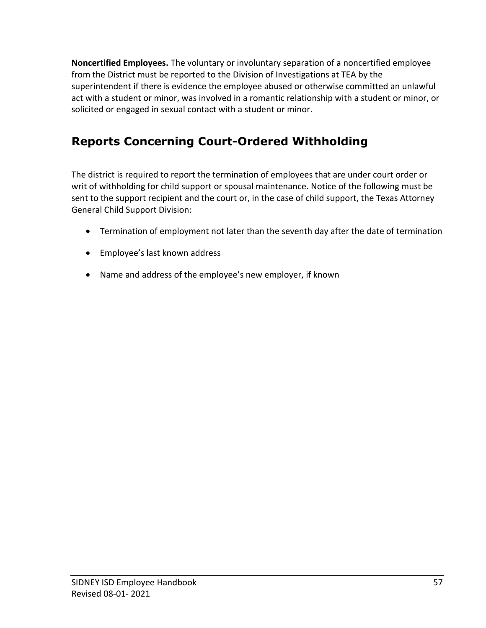**Noncertified Employees.** The voluntary or involuntary separation of a noncertified employee from the District must be reported to the Division of Investigations at TEA by the superintendent if there is evidence the employee abused or otherwise committed an unlawful act with a student or minor, was involved in a romantic relationship with a student or minor, or solicited or engaged in sexual contact with a student or minor.

# **Reports Concerning Court-Ordered Withholding**

The district is required to report the termination of employees that are under court order or writ of withholding for child support or spousal maintenance. Notice of the following must be sent to the support recipient and the court or, in the case of child support, the Texas Attorney General Child Support Division:

- Termination of employment not later than the seventh day after the date of termination
- Employee's last known address
- Name and address of the employee's new employer, if known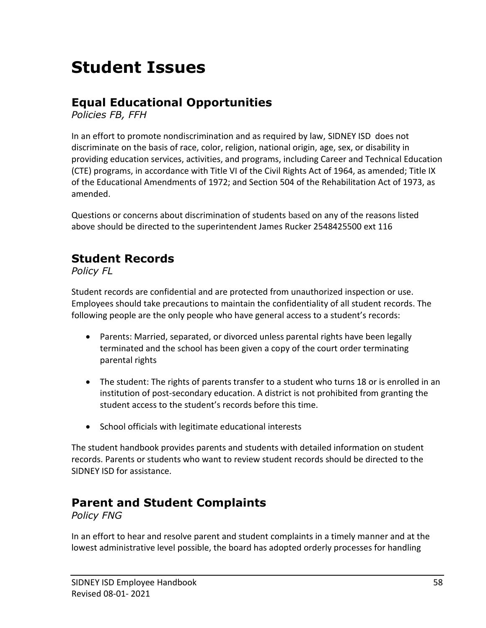# **Student Issues**

### **Equal Educational Opportunities**

*Policies FB, FFH*

In an effort to promote nondiscrimination and as required by law, SIDNEY ISD does not discriminate on the basis of race, color, religion, national origin, age, sex, or disability in providing education services, activities, and programs, including Career and Technical Education (CTE) programs, in accordance with Title VI of the Civil Rights Act of 1964, as amended; Title IX of the Educational Amendments of 1972; and Section 504 of the Rehabilitation Act of 1973, as amended.

Questions or concerns about discrimination of students based on any of the reasons listed above should be directed to the superintendent James Rucker 2548425500 ext 116

### **Student Records**

*Policy FL*

Student records are confidential and are protected from unauthorized inspection or use. Employees should take precautions to maintain the confidentiality of all student records. The following people are the only people who have general access to a student's records:

- Parents: Married, separated, or divorced unless parental rights have been legally terminated and the school has been given a copy of the court order terminating parental rights
- The student: The rights of parents transfer to a student who turns 18 or is enrolled in an institution of post-secondary education. A district is not prohibited from granting the student access to the student's records before this time.
- School officials with legitimate educational interests

The student handbook provides parents and students with detailed information on student records. Parents or students who want to review student records should be directed to the SIDNEY ISD for assistance.

### **Parent and Student Complaints**

*Policy FNG*

In an effort to hear and resolve parent and student complaints in a timely manner and at the lowest administrative level possible, the board has adopted orderly processes for handling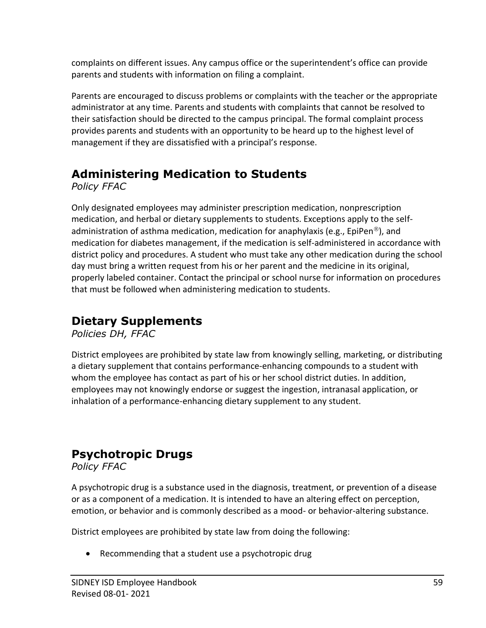complaints on different issues. Any campus office or the superintendent's office can provide parents and students with information on filing a complaint.

Parents are encouraged to discuss problems or complaints with the teacher or the appropriate administrator at any time. Parents and students with complaints that cannot be resolved to their satisfaction should be directed to the campus principal. The formal complaint process provides parents and students with an opportunity to be heard up to the highest level of management if they are dissatisfied with a principal's response.

# **Administering Medication to Students**

*Policy FFAC*

Only designated employees may administer prescription medication, nonprescription medication, and herbal or dietary supplements to students. Exceptions apply to the selfadministration of asthma medication, medication for anaphylaxis (e.g., EpiPen<sup>®</sup>), and medication for diabetes management, if the medication is self-administered in accordance with district policy and procedures. A student who must take any other medication during the school day must bring a written request from his or her parent and the medicine in its original, properly labeled container. Contact the principal or school nurse for information on procedures that must be followed when administering medication to students.

# **Dietary Supplements**

*Policies DH, FFAC*

District employees are prohibited by state law from knowingly selling, marketing, or distributing a dietary supplement that contains performance-enhancing compounds to a student with whom the employee has contact as part of his or her school district duties. In addition, employees may not knowingly endorse or suggest the ingestion, intranasal application, or inhalation of a performance-enhancing dietary supplement to any student.

# **Psychotropic Drugs**

*Policy FFAC*

A psychotropic drug is a substance used in the diagnosis, treatment, or prevention of a disease or as a component of a medication. It is intended to have an altering effect on perception, emotion, or behavior and is commonly described as a mood- or behavior-altering substance.

District employees are prohibited by state law from doing the following:

• Recommending that a student use a psychotropic drug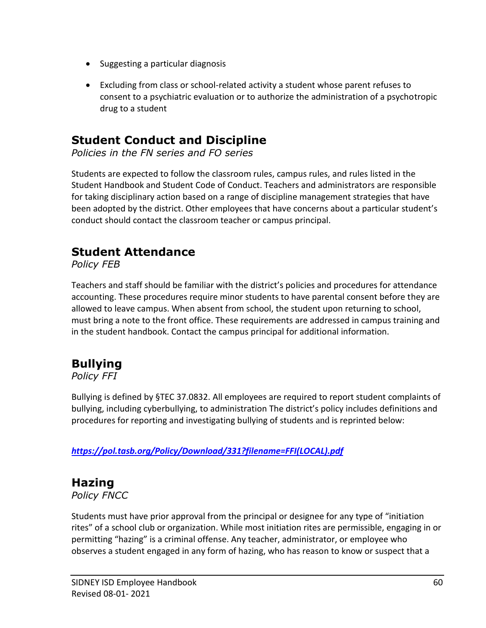- Suggesting a particular diagnosis
- Excluding from class or school-related activity a student whose parent refuses to consent to a psychiatric evaluation or to authorize the administration of a psychotropic drug to a student

### **Student Conduct and Discipline**

*Policies in the FN series and FO series*

Students are expected to follow the classroom rules, campus rules, and rules listed in the Student Handbook and Student Code of Conduct. Teachers and administrators are responsible for taking disciplinary action based on a range of discipline management strategies that have been adopted by the district. Other employees that have concerns about a particular student's conduct should contact the classroom teacher or campus principal.

### **Student Attendance**

*Policy FEB*

Teachers and staff should be familiar with the district's policies and procedures for attendance accounting. These procedures require minor students to have parental consent before they are allowed to leave campus. When absent from school, the student upon returning to school, must bring a note to the front office. These requirements are addressed in campus training and in the student handbook. Contact the campus principal for additional information.

# **Bullying**

*Policy FFI*

Bullying is defined by §TEC 37.0832. All employees are required to report student complaints of bullying, including cyberbullying, to administration The district's policy includes definitions and procedures for reporting and investigating bullying of students and is reprinted below:

*[https://pol.tasb.org/Policy/Download/331?filename=FFI\(LOCAL\).pdf](https://pol.tasb.org/Policy/Download/331?filename=FFI(LOCAL).pdf)*

### **Hazing**

*Policy FNCC*

Students must have prior approval from the principal or designee for any type of "initiation rites" of a school club or organization. While most initiation rites are permissible, engaging in or permitting "hazing" is a criminal offense. Any teacher, administrator, or employee who observes a student engaged in any form of hazing, who has reason to know or suspect that a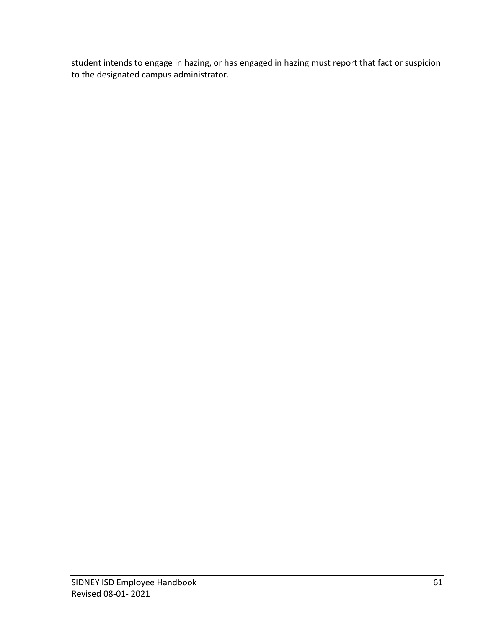student intends to engage in hazing, or has engaged in hazing must report that fact or suspicion to the designated campus administrator.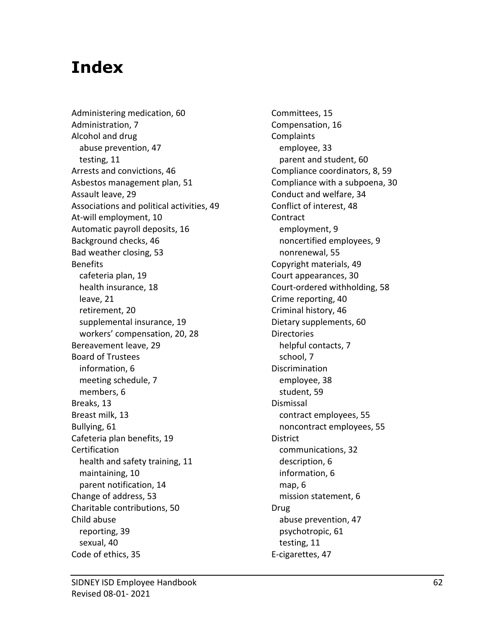# **Index**

Administering medication, 60 Administration, 7 Alcohol and drug abuse prevention, 47 testing, 11 Arrests and convictions, 46 Asbestos management plan, 51 Assault leave, 29 Associations and political activities, 49 At-will employment, 10 Automatic payroll deposits, 16 Background checks, 46 Bad weather closing, 53 Benefits cafeteria plan, 19 health insurance, 18 leave, 21 retirement, 20 supplemental insurance, 19 workers' compensation, 20, 28 Bereavement leave, 29 Board of Trustees information, 6 meeting schedule, 7 members, 6 Breaks, 13 Breast milk, 13 Bullying, 61 Cafeteria plan benefits, 19 Certification health and safety training, 11 maintaining, 10 parent notification, 14 Change of address, 53 Charitable contributions, 50 Child abuse reporting, 39 sexual, 40 Code of ethics, 35

Committees, 15 Compensation, 16 **Complaints** employee, 33 parent and student, 60 Compliance coordinators, 8, 59 Compliance with a subpoena, 30 Conduct and welfare, 34 Conflict of interest, 48 **Contract** employment, 9 noncertified employees, 9 nonrenewal, 55 Copyright materials, 49 Court appearances, 30 Court-ordered withholding, 58 Crime reporting, 40 Criminal history, 46 Dietary supplements, 60 **Directories** helpful contacts, 7 school, 7 Discrimination employee, 38 student, 59 Dismissal contract employees, 55 noncontract employees, 55 District communications, 32 description, 6 information, 6 map, 6 mission statement, 6 Drug abuse prevention, 47 psychotropic, 61 testing, 11 E-cigarettes, 47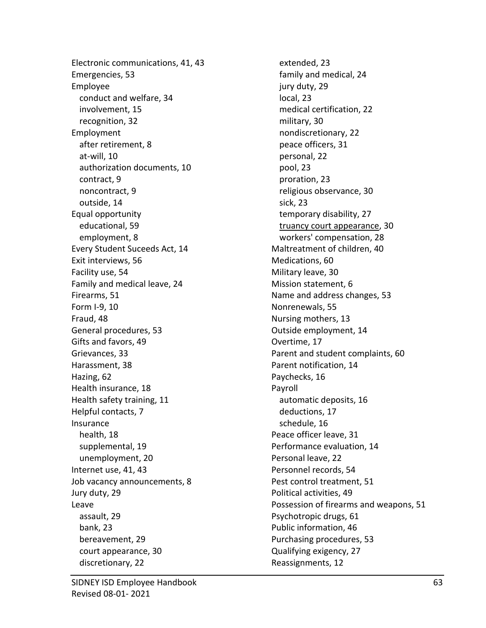Electronic communications, 41, 43 Emergencies, 53 Employee conduct and welfare, 34 involvement, 15 recognition, 32 Employment after retirement, 8 at-will, 10 authorization documents, 10 contract, 9 noncontract, 9 outside, 14 Equal opportunity educational, 59 employment, 8 Every Student Suceeds Act, 14 Exit interviews, 56 Facility use, 54 Family and medical leave, 24 Firearms, 51 Form I-9, 10 Fraud, 48 General procedures, 53 Gifts and favors, 49 Grievances, 33 Harassment, 38 Hazing, 62 Health insurance, 18 Health safety training, 11 Helpful contacts, 7 Insurance health, 18 supplemental, 19 unemployment, 20 Internet use, 41, 43 Job vacancy announcements, 8 Jury duty, 29 Leave assault, 29 bank, 23 bereavement, 29 court appearance, 30 discretionary, 22

extended, 23 family and medical, 24 jury duty, 29 local, 23 medical certification, 22 military, 30 nondiscretionary, 22 peace officers, 31 personal, 22 pool, 23 proration, 23 religious observance, 30 sick, 23 temporary disability, 27 truancy court appearance, 30 workers' compensation, 28 Maltreatment of children, 40 Medications, 60 Military leave, 30 Mission statement, 6 Name and address changes, 53 Nonrenewals, 55 Nursing mothers, 13 Outside employment, 14 Overtime, 17 Parent and student complaints, 60 Parent notification, 14 Paychecks, 16 Payroll automatic deposits, 16 deductions, 17 schedule, 16 Peace officer leave, 31 Performance evaluation, 14 Personal leave, 22 Personnel records, 54 Pest control treatment, 51 Political activities, 49 Possession of firearms and weapons, 51 Psychotropic drugs, 61 Public information, 46 Purchasing procedures, 53 Qualifying exigency, 27 Reassignments, 12